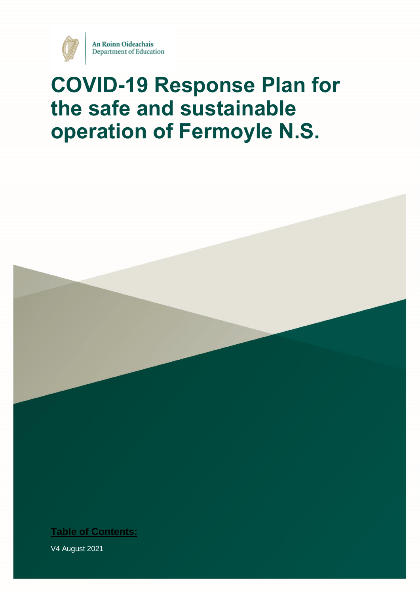

# **COVID-19 Response Plan for the safe and sustainable operation of Fermoyle N.S.**



V4 August 2021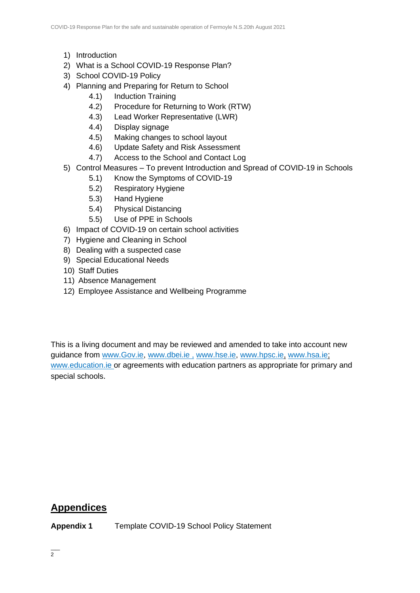- 1) Introduction
- 2) What is a School COVID-19 Response Plan?
- 3) School COVID-19 Policy
- 4) Planning and Preparing for Return to School
	- 4.1) Induction Training
	- 4.2) Procedure for Returning to Work (RTW)
	- 4.3) Lead Worker Representative (LWR)
	- 4.4) Display signage
	- 4.5) Making changes to school layout
	- 4.6) Update Safety and Risk Assessment
	- 4.7) Access to the School and Contact Log
- 5) Control Measures To prevent Introduction and Spread of COVID-19 in Schools
	- 5.1) Know the Symptoms of COVID-19
	- 5.2) Respiratory Hygiene
	- 5.3) Hand Hygiene
	- 5.4) Physical Distancing
	- 5.5) Use of PPE in Schools
- 6) Impact of COVID-19 on certain school activities
- 7) Hygiene and Cleaning in School
- 8) Dealing with a suspected case
- 9) Special Educational Needs
- 10) Staff Duties
- 11) Absence Management
- 12) Employee Assistance and Wellbeing Programme

This is a living document and may be reviewed and amended to take into account new guidance from [www.Gov.ie,](http://www.gov.ie/) [www.dbei.ie](http://www.dbei.ie/) , [www.hse.ie,](http://www.hse.ie/) [www.hpsc.ie,](http://www.hpsc.ie/) [www.hsa.ie;](http://www.hsa.ie/) [www.education.ie](http://www.education.ie/) or agreements with education partners as appropriate for primary and special schools.

### **Appendices**

**Appendix 1** Template COVID-19 School Policy Statement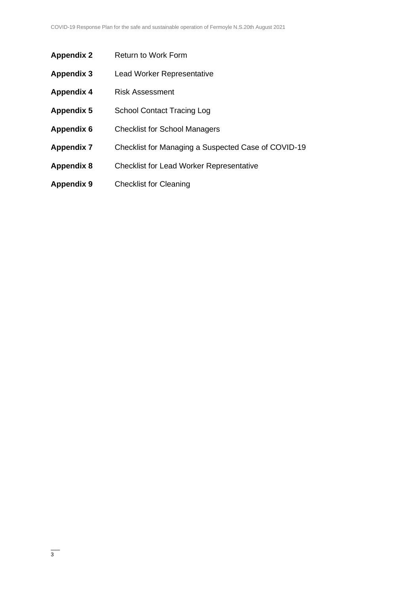| <b>Appendix 2</b> | <b>Return to Work Form</b>                          |
|-------------------|-----------------------------------------------------|
| <b>Appendix 3</b> | <b>Lead Worker Representative</b>                   |
| <b>Appendix 4</b> | <b>Risk Assessment</b>                              |
| <b>Appendix 5</b> | <b>School Contact Tracing Log</b>                   |
| <b>Appendix 6</b> | <b>Checklist for School Managers</b>                |
| <b>Appendix 7</b> | Checklist for Managing a Suspected Case of COVID-19 |
| <b>Appendix 8</b> | <b>Checklist for Lead Worker Representative</b>     |
| <b>Appendix 9</b> | <b>Checklist for Cleaning</b>                       |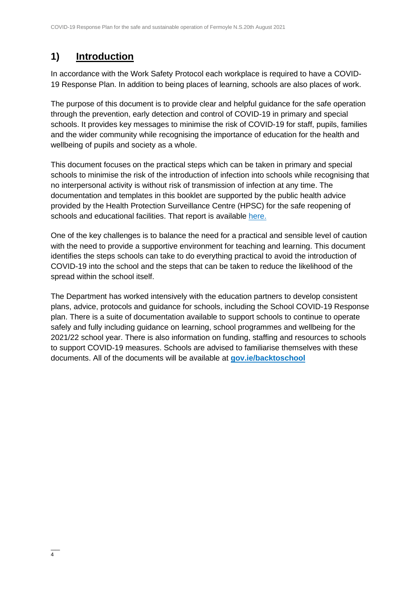### **1) Introduction**

In accordance with the Work Safety Protocol each workplace is required to have a COVID-19 Response Plan. In addition to being places of learning, schools are also places of work.

The purpose of this document is to provide clear and helpful guidance for the safe operation through the prevention, early detection and control of COVID-19 in primary and special schools. It provides key messages to minimise the risk of COVID-19 for staff, pupils, families and the wider community while recognising the importance of education for the health and wellbeing of pupils and society as a whole.

This document focuses on the practical steps which can be taken in primary and special schools to minimise the risk of the introduction of infection into schools while recognising that no interpersonal activity is without risk of transmission of infection at any time. The documentation and templates in this booklet are supported by the public health advice provided by the Health Protection Surveillance Centre (HPSC) for the safe reopening of schools and educational facilities. That report is available [here.](https://assets.gov.ie/78748/8796d60e-790e-4007-add1-de18e509a3c1.pdf)

One of the key challenges is to balance the need for a practical and sensible level of caution with the need to provide a supportive environment for teaching and learning. This document identifies the steps schools can take to do everything practical to avoid the introduction of COVID-19 into the school and the steps that can be taken to reduce the likelihood of the spread within the school itself.

The Department has worked intensively with the education partners to develop consistent plans, advice, protocols and guidance for schools, including the School COVID-19 Response plan. There is a suite of documentation available to support schools to continue to operate safely and fully including guidance on learning, school programmes and wellbeing for the 2021/22 school year. There is also information on funding, staffing and resources to schools to support COVID-19 measures. Schools are advised to familiarise themselves with these documents. All of the documents will be available at **[gov.ie/backtoschool](http://www.gov.ie/backtoschool)**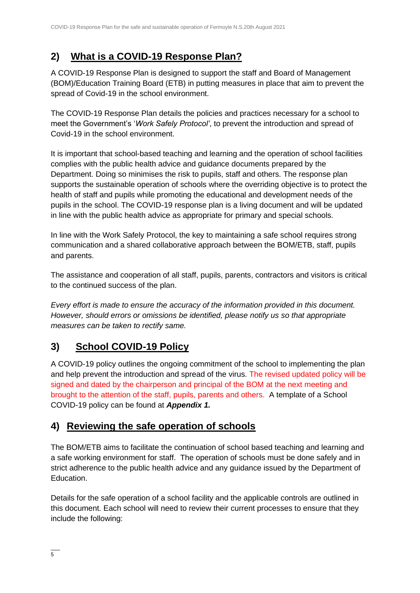### **2) What is a COVID-19 Response Plan?**

A COVID-19 Response Plan is designed to support the staff and Board of Management (BOM)/Education Training Board (ETB) in putting measures in place that aim to prevent the spread of Covid-19 in the school environment.

The COVID-19 Response Plan details the policies and practices necessary for a school to meet the Government's '*Work Safely Protocol'*, to prevent the introduction and spread of Covid-19 in the school environment.

It is important that school-based teaching and learning and the operation of school facilities complies with the public health advice and guidance documents prepared by the Department. Doing so minimises the risk to pupils, staff and others. The response plan supports the sustainable operation of schools where the overriding objective is to protect the health of staff and pupils while promoting the educational and development needs of the pupils in the school. The COVID-19 response plan is a living document and will be updated in line with the public health advice as appropriate for primary and special schools.

In line with the Work Safely Protocol, the key to maintaining a safe school requires strong communication and a shared collaborative approach between the BOM/ETB, staff, pupils and parents.

The assistance and cooperation of all staff, pupils, parents, contractors and visitors is critical to the continued success of the plan.

*Every effort is made to ensure the accuracy of the information provided in this document. However, should errors or omissions be identified, please notify us so that appropriate measures can be taken to rectify same.*

### **3) School COVID-19 Policy**

A COVID-19 policy outlines the ongoing commitment of the school to implementing the plan and help prevent the introduction and spread of the virus. The revised updated policy will be signed and dated by the chairperson and principal of the BOM at the next meeting and brought to the attention of the staff, pupils, parents and others. A template of a School COVID-19 policy can be found at *Appendix 1.*

### **4) Reviewing the safe operation of schools**

The BOM/ETB aims to facilitate the continuation of school based teaching and learning and a safe working environment for staff. The operation of schools must be done safely and in strict adherence to the public health advice and any guidance issued by the Department of Education.

Details for the safe operation of a school facility and the applicable controls are outlined in this document. Each school will need to review their current processes to ensure that they include the following: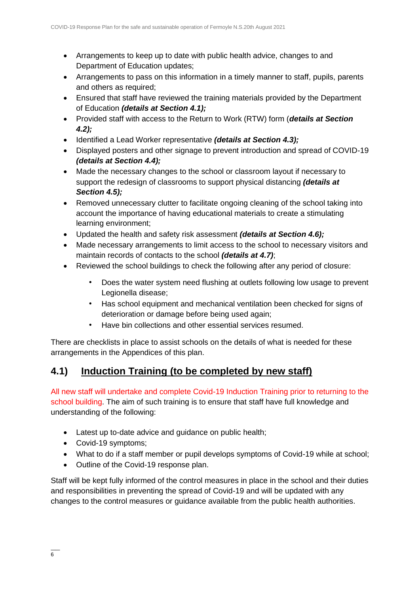- Arrangements to keep up to date with public health advice, changes to and Department of Education updates;
- Arrangements to pass on this information in a timely manner to staff, pupils, parents and others as required;
- Ensured that staff have reviewed the training materials provided by the Department of Education *(details at Section 4.1);*
- Provided staff with access to the Return to Work (RTW) form (*details at Section 4.2);*
- Identified a Lead Worker representative *(details at Section 4.3);*
- Displayed posters and other signage to prevent introduction and spread of COVID-19 *(details at Section 4.4);*
- Made the necessary changes to the school or classroom layout if necessary to support the redesign of classrooms to support physical distancing *(details at Section 4.5);*
- Removed unnecessary clutter to facilitate ongoing cleaning of the school taking into account the importance of having educational materials to create a stimulating learning environment;
- Updated the health and safety risk assessment *(details at Section 4.6);*
- Made necessary arrangements to limit access to the school to necessary visitors and maintain records of contacts to the school *(details at 4.7)*;
- Reviewed the school buildings to check the following after any period of closure:
	- Does the water system need flushing at outlets following low usage to prevent Legionella disease;
	- Has school equipment and mechanical ventilation been checked for signs of deterioration or damage before being used again;
	- Have bin collections and other essential services resumed.

There are checklists in place to assist schools on the details of what is needed for these arrangements in the Appendices of this plan.

### **4.1) Induction Training (to be completed by new staff)**

All new staff will undertake and complete Covid-19 Induction Training prior to returning to the school building. The aim of such training is to ensure that staff have full knowledge and understanding of the following:

- Latest up to-date advice and guidance on public health;
- Covid-19 symptoms;
- What to do if a staff member or pupil develops symptoms of Covid-19 while at school;
- Outline of the Covid-19 response plan.

Staff will be kept fully informed of the control measures in place in the school and their duties and responsibilities in preventing the spread of Covid-19 and will be updated with any changes to the control measures or guidance available from the public health authorities.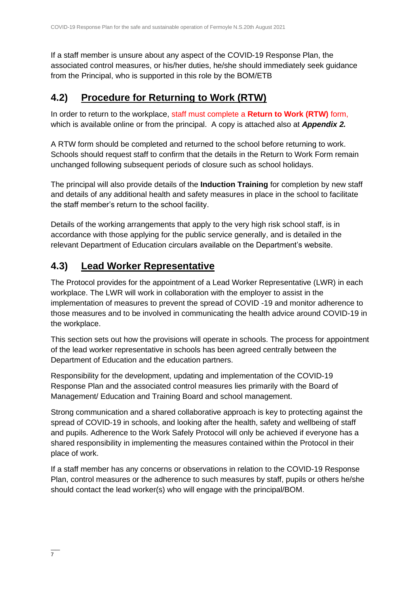If a staff member is unsure about any aspect of the COVID-19 Response Plan, the associated control measures, or his/her duties, he/she should immediately seek guidance from the Principal, who is supported in this role by the BOM/ETB

### **4.2) Procedure for Returning to Work (RTW)**

In order to return to the workplace, staff must complete a **Return to Work (RTW)** form, which is available online or from the principal. A copy is attached also at *Appendix 2.*

A RTW form should be completed and returned to the school before returning to work. Schools should request staff to confirm that the details in the Return to Work Form remain unchanged following subsequent periods of closure such as school holidays.

The principal will also provide details of the **Induction Training** for completion by new staff and details of any additional health and safety measures in place in the school to facilitate the staff member's return to the school facility.

Details of the working arrangements that apply to the very high risk school staff, is in accordance with those applying for the public service generally, and is detailed in the relevant Department of Education circulars available on the Department's website.

### **4.3) Lead Worker Representative**

The Protocol provides for the appointment of a Lead Worker Representative (LWR) in each workplace. The LWR will work in collaboration with the employer to assist in the implementation of measures to prevent the spread of COVID -19 and monitor adherence to those measures and to be involved in communicating the health advice around COVID-19 in the workplace.

This section sets out how the provisions will operate in schools. The process for appointment of the lead worker representative in schools has been agreed centrally between the Department of Education and the education partners.

Responsibility for the development, updating and implementation of the COVID-19 Response Plan and the associated control measures lies primarily with the Board of Management/ Education and Training Board and school management.

Strong communication and a shared collaborative approach is key to protecting against the spread of COVID-19 in schools, and looking after the health, safety and wellbeing of staff and pupils. Adherence to the Work Safely Protocol will only be achieved if everyone has a shared responsibility in implementing the measures contained within the Protocol in their place of work.

If a staff member has any concerns or observations in relation to the COVID-19 Response Plan, control measures or the adherence to such measures by staff, pupils or others he/she should contact the lead worker(s) who will engage with the principal/BOM.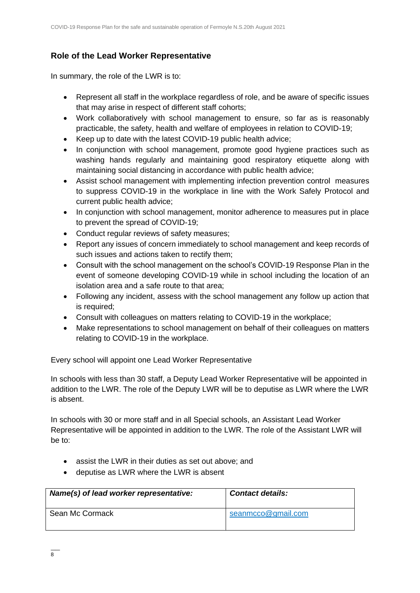### **Role of the Lead Worker Representative**

In summary, the role of the LWR is to:

- Represent all staff in the workplace regardless of role, and be aware of specific issues that may arise in respect of different staff cohorts;
- Work collaboratively with school management to ensure, so far as is reasonably practicable, the safety, health and welfare of employees in relation to COVID-19;
- Keep up to date with the latest COVID-19 public health advice;
- In conjunction with school management, promote good hygiene practices such as washing hands regularly and maintaining good respiratory etiquette along with maintaining social distancing in accordance with public health advice;
- Assist school management with implementing infection prevention control measures to suppress COVID-19 in the workplace in line with the Work Safely Protocol and current public health advice;
- In conjunction with school management, monitor adherence to measures put in place to prevent the spread of COVID-19;
- Conduct regular reviews of safety measures;
- Report any issues of concern immediately to school management and keep records of such issues and actions taken to rectify them;
- Consult with the school management on the school's COVID-19 Response Plan in the event of someone developing COVID-19 while in school including the location of an isolation area and a safe route to that area;
- Following any incident, assess with the school management any follow up action that is required;
- Consult with colleagues on matters relating to COVID-19 in the workplace;
- Make representations to school management on behalf of their colleagues on matters relating to COVID-19 in the workplace.

Every school will appoint one Lead Worker Representative

In schools with less than 30 staff, a Deputy Lead Worker Representative will be appointed in addition to the LWR. The role of the Deputy LWR will be to deputise as LWR where the LWR is absent.

In schools with 30 or more staff and in all Special schools, an Assistant Lead Worker Representative will be appointed in addition to the LWR. The role of the Assistant LWR will be to:

- assist the LWR in their duties as set out above; and
- deputise as LWR where the LWR is absent

| Name(s) of lead worker representative: | <b>Contact details:</b> |
|----------------------------------------|-------------------------|
| Sean Mc Cormack                        | seanmcco@gmail.com      |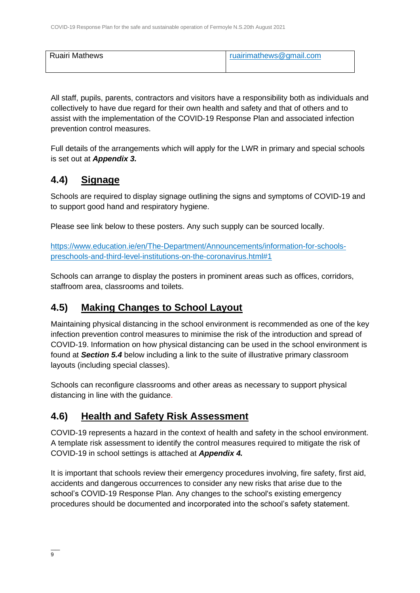| <b>Ruairi Mathews</b> | ruairimathews@gmail.com |  |  |  |
|-----------------------|-------------------------|--|--|--|
|                       |                         |  |  |  |

All staff, pupils, parents, contractors and visitors have a responsibility both as individuals and collectively to have due regard for their own health and safety and that of others and to assist with the implementation of the COVID-19 Response Plan and associated infection prevention control measures.

Full details of the arrangements which will apply for the LWR in primary and special schools is set out at *Appendix 3.*

### **4.4) Signage**

Schools are required to display signage outlining the signs and symptoms of COVID-19 and to support good hand and respiratory hygiene.

Please see link below to these posters. Any such supply can be sourced locally.

[https://www.education.ie/en/The-Department/Announcements/information-for-schools](https://www.education.ie/en/The-Department/Announcements/information-for-schools-preschools-and-third-level-institutions-on-the-coronavirus.html#1)[preschools-and-third-level-institutions-on-the-coronavirus.html#1](https://www.education.ie/en/The-Department/Announcements/information-for-schools-preschools-and-third-level-institutions-on-the-coronavirus.html#1)

Schools can arrange to display the posters in prominent areas such as offices, corridors, staffroom area, classrooms and toilets.

### **4.5) Making Changes to School Layout**

Maintaining physical distancing in the school environment is recommended as one of the key infection prevention control measures to minimise the risk of the introduction and spread of COVID-19. Information on how physical distancing can be used in the school environment is found at *Section 5.4* below including a link to the suite of illustrative primary classroom layouts (including special classes).

Schools can reconfigure classrooms and other areas as necessary to support physical distancing in line with the guidance.

### **4.6) Health and Safety Risk Assessment**

COVID-19 represents a hazard in the context of health and safety in the school environment. A template risk assessment to identify the control measures required to mitigate the risk of COVID-19 in school settings is attached at *Appendix 4.*

It is important that schools review their emergency procedures involving, fire safety, first aid, accidents and dangerous occurrences to consider any new risks that arise due to the school's COVID-19 Response Plan. Any changes to the school's existing emergency procedures should be documented and incorporated into the school's safety statement.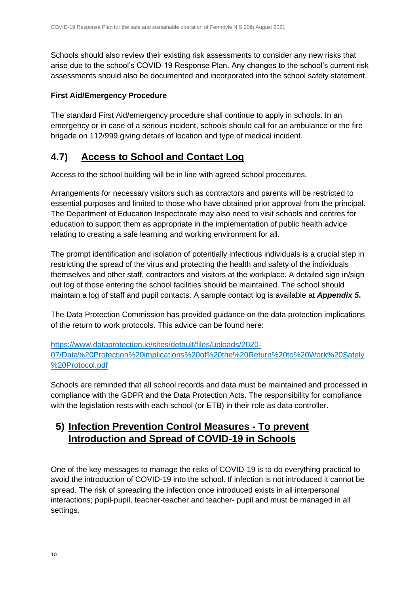Schools should also review their existing risk assessments to consider any new risks that arise due to the school's COVID-19 Response Plan. Any changes to the school's current risk assessments should also be documented and incorporated into the school safety statement.

#### **First Aid/Emergency Procedure**

The standard First Aid/emergency procedure shall continue to apply in schools. In an emergency or in case of a serious incident, schools should call for an ambulance or the fire brigade on 112/999 giving details of location and type of medical incident.

### **4.7) Access to School and Contact Log**

Access to the school building will be in line with agreed school procedures.

Arrangements for necessary visitors such as contractors and parents will be restricted to essential purposes and limited to those who have obtained prior approval from the principal. The Department of Education Inspectorate may also need to visit schools and centres for education to support them as appropriate in the implementation of public health advice relating to creating a safe learning and working environment for all.

The prompt identification and isolation of potentially infectious individuals is a crucial step in restricting the spread of the virus and protecting the health and safety of the individuals themselves and other staff, contractors and visitors at the workplace. A detailed sign in/sign out log of those entering the school facilities should be maintained. The school should maintain a log of staff and pupil contacts. A sample contact log is available at *Appendix 5***.** 

The Data Protection Commission has provided guidance on the data protection implications of the return to work protocols. This advice can be found here:

[https://www.dataprotection.ie/sites/default/files/uploads/2020-](https://www.dataprotection.ie/sites/default/files/uploads/2020-07/Data%20Protection%20implications%20of%20the%20Return%20to%20Work%20Safely%20Protocol.pdf) [07/Data%20Protection%20implications%20of%20the%20Return%20to%20Work%20Safely](https://www.dataprotection.ie/sites/default/files/uploads/2020-07/Data%20Protection%20implications%20of%20the%20Return%20to%20Work%20Safely%20Protocol.pdf) [%20Protocol.pdf](https://www.dataprotection.ie/sites/default/files/uploads/2020-07/Data%20Protection%20implications%20of%20the%20Return%20to%20Work%20Safely%20Protocol.pdf)

Schools are reminded that all school records and data must be maintained and processed in compliance with the GDPR and the Data Protection Acts. The responsibility for compliance with the legislation rests with each school (or ETB) in their role as data controller.

### **5) Infection Prevention Control Measures - To prevent Introduction and Spread of COVID-19 in Schools**

One of the key messages to manage the risks of COVID-19 is to do everything practical to avoid the introduction of COVID-19 into the school. If infection is not introduced it cannot be spread. The risk of spreading the infection once introduced exists in all interpersonal interactions; pupil-pupil, teacher-teacher and teacher- pupil and must be managed in all settings.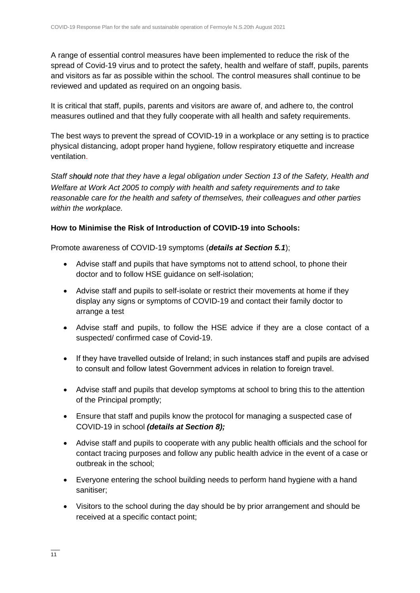A range of essential control measures have been implemented to reduce the risk of the spread of Covid-19 virus and to protect the safety, health and welfare of staff, pupils, parents and visitors as far as possible within the school. The control measures shall continue to be reviewed and updated as required on an ongoing basis.

It is critical that staff, pupils, parents and visitors are aware of, and adhere to, the control measures outlined and that they fully cooperate with all health and safety requirements.

The best ways to prevent the spread of COVID-19 in a workplace or any setting is to practice physical distancing, adopt proper hand hygiene, follow respiratory etiquette and increase ventilation.

*Staff should note that they have a legal obligation under Section 13 of the Safety, Health and Welfare at Work Act 2005 to comply with health and safety requirements and to take reasonable care for the health and safety of themselves, their colleagues and other parties within the workplace.* 

### **How to Minimise the Risk of Introduction of COVID-19 into Schools:**

Promote awareness of COVID-19 symptoms (*details at Section 5.1*);

- Advise staff and pupils that have symptoms not to attend school, to phone their doctor and to follow HSE guidance on self-isolation;
- Advise staff and pupils to self-isolate or restrict their movements at home if they display any signs or symptoms of COVID-19 and contact their family doctor to arrange a test
- Advise staff and pupils, to follow the HSE advice if they are a close contact of a suspected/ confirmed case of Covid-19.
- If they have travelled outside of Ireland; in such instances staff and pupils are advised to consult and follow latest Government advices in relation to foreign travel.
- Advise staff and pupils that develop symptoms at school to bring this to the attention of the Principal promptly;
- Ensure that staff and pupils know the protocol for managing a suspected case of COVID-19 in school *(details at Section 8);*
- Advise staff and pupils to cooperate with any public health officials and the school for contact tracing purposes and follow any public health advice in the event of a case or outbreak in the school;
- Everyone entering the school building needs to perform hand hygiene with a hand sanitiser;
- Visitors to the school during the day should be by prior arrangement and should be received at a specific contact point;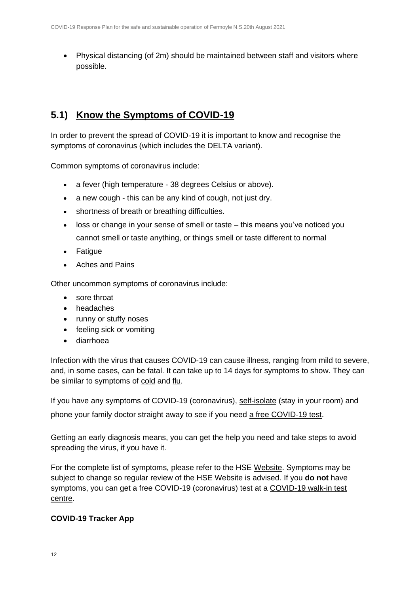• Physical distancing (of 2m) should be maintained between staff and visitors where possible.

### **5.1) Know the Symptoms of COVID-19**

In order to prevent the spread of COVID-19 it is important to know and recognise the symptoms of coronavirus (which includes the DELTA variant).

Common symptoms of coronavirus include:

- a fever (high temperature 38 degrees Celsius or above).
- a new cough this can be any kind of cough, not just dry.
- shortness of breath or breathing difficulties.
- loss or change in your sense of smell or taste this means you've noticed you cannot smell or taste anything, or things smell or taste different to normal
- Fatigue
- Aches and Pains

Other uncommon symptoms of coronavirus include:

- sore throat
- headaches
- runny or stuffy noses
- feeling sick or vomiting
- diarrhoea

Infection with the virus that causes COVID-19 can cause illness, ranging from mild to severe, and, in some cases, can be fatal. It can take up to 14 days for symptoms to show. They can be similar to symptoms of [cold](https://www2.hse.ie/conditions/common-cold.html) and [flu.](https://www2.hse.ie/conditions/flu/flu-symptoms-and-diagnosis.html)

If you have any symptoms of COVID-19 (coronavirus), [self-isolate](https://www2.hse.ie/conditions/coronavirus/self-isolation/how-to-self-isolate.html) (stay in your room) and phone your family doctor straight away to see if you need a free [COVID-19 test.](https://www2.hse.ie/conditions/coronavirus/testing/how-to-get-tested.html)

Getting an early diagnosis means, you can get the help you need and take steps to avoid spreading the virus, if you have it.

For the complete list of symptoms, please refer to the HSE [Website.](https://www2.hse.ie/conditions/coronavirus/symptoms.html) Symptoms may be subject to change so regular review of the HSE Website is advised. If you **do not** have symptoms, you can get a free COVID-19 (coronavirus) test at a [COVID-19 walk-in test](https://www2.hse.ie/conditions/coronavirus/testing/covid-19-walk-in-test-centres.html)  [centre.](https://www2.hse.ie/conditions/coronavirus/testing/covid-19-walk-in-test-centres.html)

#### **COVID-19 Tracker App**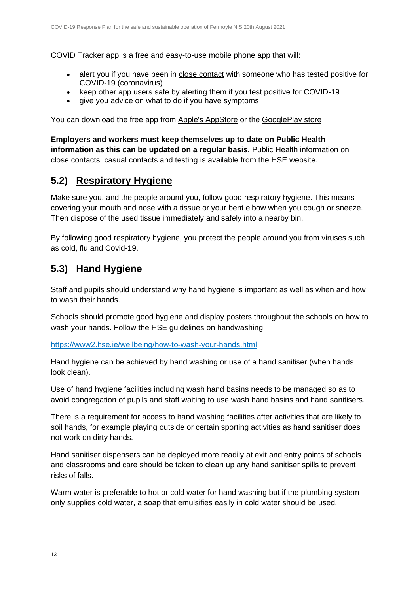COVID Tracker app is a free and easy-to-use mobile phone app that will:

- alert you if you have been in [close contact](https://www2.hse.ie/conditions/coronavirus/close-contact-and-casual-contact.html) with someone who has tested positive for COVID-19 (coronavirus)
- keep other app users safe by alerting them if you test positive for COVID-19
- give you advice on what to do if you have symptoms

You can download the free app from [Apple's AppStore](https://apps.apple.com/ie/app/covid-tracker-ireland/id1505596721) or the [GooglePlay store](https://play.google.com/store/apps/details?id=com.covidtracker.hse)

**Employers and workers must keep themselves up to date on Public Health information as this can be updated on a regular basis.** Public Health information on [close contacts, casual contacts and testing](https://www2.hse.ie/conditions/coronavirus/close-contact-and-casual-contact.html) is available from the HSE website.

### **5.2) Respiratory Hygiene**

Make sure you, and the people around you, follow good respiratory hygiene. This means covering your mouth and nose with a tissue or your bent elbow when you cough or sneeze. Then dispose of the used tissue immediately and safely into a nearby bin.

By following good respiratory hygiene, you protect the people around you from viruses such as cold, flu and Covid-19.

### **5.3) Hand Hygiene**

Staff and pupils should understand why hand hygiene is important as well as when and how to wash their hands.

Schools should promote good hygiene and display posters throughout the schools on how to wash your hands. Follow the HSE guidelines on handwashing:

<https://www2.hse.ie/wellbeing/how-to-wash-your-hands.html>

Hand hygiene can be achieved by hand washing or use of a hand sanitiser (when hands look clean).

Use of hand hygiene facilities including wash hand basins needs to be managed so as to avoid congregation of pupils and staff waiting to use wash hand basins and hand sanitisers.

There is a requirement for access to hand washing facilities after activities that are likely to soil hands, for example playing outside or certain sporting activities as hand sanitiser does not work on dirty hands.

Hand sanitiser dispensers can be deployed more readily at exit and entry points of schools and classrooms and care should be taken to clean up any hand sanitiser spills to prevent risks of falls.

Warm water is preferable to hot or cold water for hand washing but if the plumbing system only supplies cold water, a soap that emulsifies easily in cold water should be used.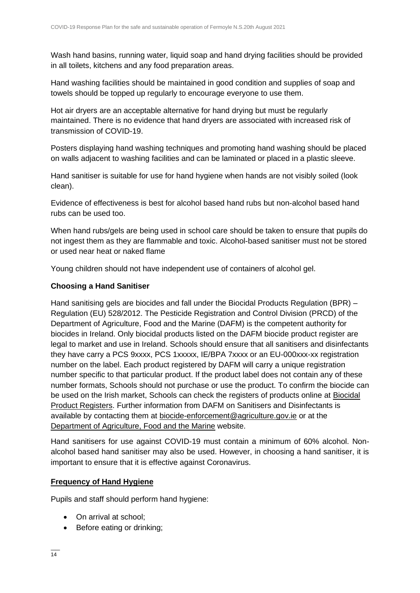Wash hand basins, running water, liquid soap and hand drying facilities should be provided in all toilets, kitchens and any food preparation areas.

Hand washing facilities should be maintained in good condition and supplies of soap and towels should be topped up regularly to encourage everyone to use them.

Hot air dryers are an acceptable alternative for hand drying but must be regularly maintained. There is no evidence that hand dryers are associated with increased risk of transmission of COVID-19.

Posters displaying hand washing techniques and promoting hand washing should be placed on walls adjacent to washing facilities and can be laminated or placed in a plastic sleeve.

Hand sanitiser is suitable for use for hand hygiene when hands are not visibly soiled (look clean).

Evidence of effectiveness is best for alcohol based hand rubs but non-alcohol based hand rubs can be used too.

When hand rubs/gels are being used in school care should be taken to ensure that pupils do not ingest them as they are flammable and toxic. Alcohol-based sanitiser must not be stored or used near heat or naked flame

Young children should not have independent use of containers of alcohol gel.

### **Choosing a Hand Sanitiser**

Hand sanitising gels are biocides and fall under the Biocidal Products Regulation (BPR) – Regulation (EU) 528/2012. The Pesticide Registration and Control Division (PRCD) of the Department of Agriculture, Food and the Marine (DAFM) is the competent authority for biocides in Ireland. Only biocidal products listed on the DAFM biocide product register are legal to market and use in Ireland. Schools should ensure that all sanitisers and disinfectants they have carry a PCS 9xxxx, PCS 1xxxxx, IE/BPA 7xxxx or an EU-000xxx-xx registration number on the label. Each product registered by DAFM will carry a unique registration number specific to that particular product. If the product label does not contain any of these number formats, Schools should not purchase or use the product. To confirm the biocide can be used on the Irish market, Schools can check the registers of products online at [Biocidal](https://www.pcs.agriculture.gov.ie/registers/biocidalproductregisters/)  [Product Registers.](https://www.pcs.agriculture.gov.ie/registers/biocidalproductregisters/) Further information from DAFM on Sanitisers and Disinfectants is available by contacting them at [biocide-enforcement@agriculture.gov.ie](mailto:biocide-enforcement@agriculture.gov.ie) or at the [Department of Agriculture, Food and the Marine](https://www.agriculture.gov.ie/customerservice/coronaviruscovid-19/handsanitisersanddisinfectants/) website.

Hand sanitisers for use against COVID-19 must contain a minimum of 60% alcohol. Nonalcohol based hand sanitiser may also be used. However, in choosing a hand sanitiser, it is important to ensure that it is effective against Coronavirus.

#### **Frequency of Hand Hygiene**

Pupils and staff should perform hand hygiene:

- On arrival at school;
- Before eating or drinking;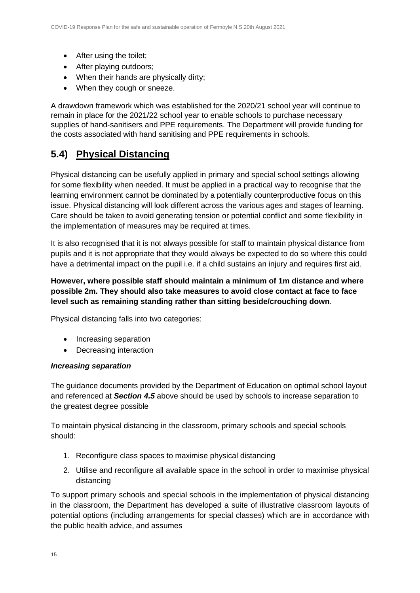- After using the toilet;
- After playing outdoors;
- When their hands are physically dirty;
- When they cough or sneeze.

A drawdown framework which was established for the 2020/21 school year will continue to remain in place for the 2021/22 school year to enable schools to purchase necessary supplies of hand-sanitisers and PPE requirements. The Department will provide funding for the costs associated with hand sanitising and PPE requirements in schools.

### **5.4) Physical Distancing**

Physical distancing can be usefully applied in primary and special school settings allowing for some flexibility when needed. It must be applied in a practical way to recognise that the learning environment cannot be dominated by a potentially counterproductive focus on this issue. Physical distancing will look different across the various ages and stages of learning. Care should be taken to avoid generating tension or potential conflict and some flexibility in the implementation of measures may be required at times.

It is also recognised that it is not always possible for staff to maintain physical distance from pupils and it is not appropriate that they would always be expected to do so where this could have a detrimental impact on the pupil i.e. if a child sustains an injury and requires first aid.

### **However, where possible staff should maintain a minimum of 1m distance and where possible 2m. They should also take measures to avoid close contact at face to face level such as remaining standing rather than sitting beside/crouching down**.

Physical distancing falls into two categories:

- Increasing separation
- Decreasing interaction

#### *Increasing separation*

The guidance documents provided by the Department of Education on optimal school layout and referenced at *Section 4.5* above should be used by schools to increase separation to the greatest degree possible

To maintain physical distancing in the classroom, primary schools and special schools should:

- 1. Reconfigure class spaces to maximise physical distancing
- 2. Utilise and reconfigure all available space in the school in order to maximise physical distancing

To support primary schools and special schools in the implementation of physical distancing in the classroom, the Department has developed a suite of illustrative classroom layouts of potential options (including arrangements for special classes) which are in accordance with the public health advice, and assumes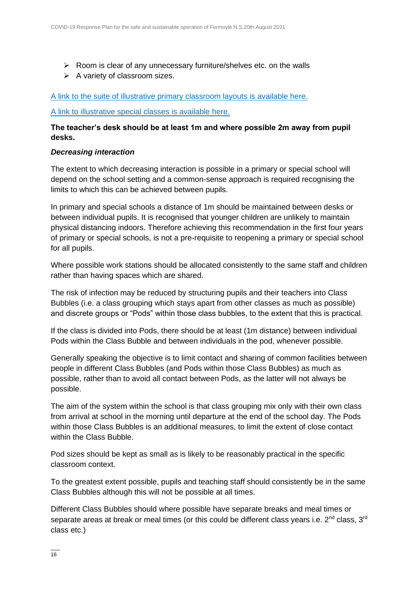- ➢ Room is clear of any unnecessary furniture/shelves etc. on the walls
- $\triangleright$  A variety of classroom sizes.

[A link to the suite of illustrative primary classroom layouts](https://s3-eu-west-1.amazonaws.com/govieassets/82023/7612d390-4a73-4afb-ba06-5d1c41bd5a0a.pdf) is available here.

[A link to illustrative special classes is available here.](https://s3-eu-west-1.amazonaws.com/govieassets/81948/36874b14-f604-4966-b8c8-bc2954b73bbd.pdf)

#### **The teacher's desk should be at least 1m and where possible 2m away from pupil desks.**

#### *Decreasing interaction*

The extent to which decreasing interaction is possible in a primary or special school will depend on the school setting and a common-sense approach is required recognising the limits to which this can be achieved between pupils.

In primary and special schools a distance of 1m should be maintained between desks or between individual pupils. It is recognised that younger children are unlikely to maintain physical distancing indoors. Therefore achieving this recommendation in the first four years of primary or special schools, is not a pre-requisite to reopening a primary or special school for all pupils.

Where possible work stations should be allocated consistently to the same staff and children rather than having spaces which are shared.

The risk of infection may be reduced by structuring pupils and their teachers into Class Bubbles (i.e. a class grouping which stays apart from other classes as much as possible) and discrete groups or "Pods" within those class bubbles, to the extent that this is practical.

If the class is divided into Pods, there should be at least (1m distance) between individual Pods within the Class Bubble and between individuals in the pod, whenever possible.

Generally speaking the objective is to limit contact and sharing of common facilities between people in different Class Bubbles (and Pods within those Class Bubbles) as much as possible, rather than to avoid all contact between Pods, as the latter will not always be possible.

The aim of the system within the school is that class grouping mix only with their own class from arrival at school in the morning until departure at the end of the school day. The Pods within those Class Bubbles is an additional measures, to limit the extent of close contact within the Class Bubble.

Pod sizes should be kept as small as is likely to be reasonably practical in the specific classroom context.

To the greatest extent possible, pupils and teaching staff should consistently be in the same Class Bubbles although this will not be possible at all times.

Different Class Bubbles should where possible have separate breaks and meal times or separate areas at break or meal times (or this could be different class years i.e. 2<sup>nd</sup> class, 3<sup>rd</sup> class etc.)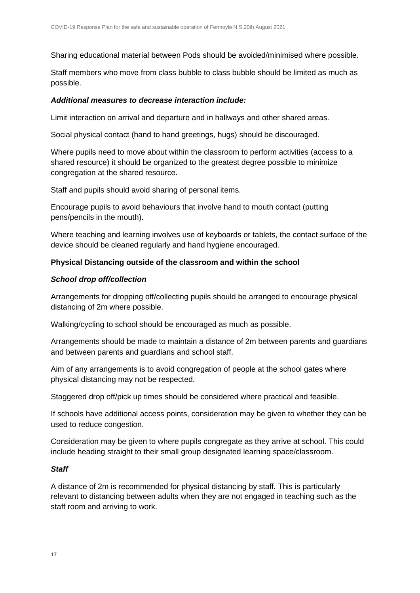Sharing educational material between Pods should be avoided/minimised where possible.

Staff members who move from class bubble to class bubble should be limited as much as possible.

#### *Additional measures to decrease interaction include:*

Limit interaction on arrival and departure and in hallways and other shared areas.

Social physical contact (hand to hand greetings, hugs) should be discouraged.

Where pupils need to move about within the classroom to perform activities (access to a shared resource) it should be organized to the greatest degree possible to minimize congregation at the shared resource.

Staff and pupils should avoid sharing of personal items.

Encourage pupils to avoid behaviours that involve hand to mouth contact (putting pens/pencils in the mouth).

Where teaching and learning involves use of keyboards or tablets, the contact surface of the device should be cleaned regularly and hand hygiene encouraged.

### **Physical Distancing outside of the classroom and within the school**

#### *School drop off/collection*

Arrangements for dropping off/collecting pupils should be arranged to encourage physical distancing of 2m where possible.

Walking/cycling to school should be encouraged as much as possible.

Arrangements should be made to maintain a distance of 2m between parents and guardians and between parents and guardians and school staff.

Aim of any arrangements is to avoid congregation of people at the school gates where physical distancing may not be respected.

Staggered drop off/pick up times should be considered where practical and feasible.

If schools have additional access points, consideration may be given to whether they can be used to reduce congestion.

Consideration may be given to where pupils congregate as they arrive at school. This could include heading straight to their small group designated learning space/classroom.

### *Staff*

A distance of 2m is recommended for physical distancing by staff. This is particularly relevant to distancing between adults when they are not engaged in teaching such as the staff room and arriving to work.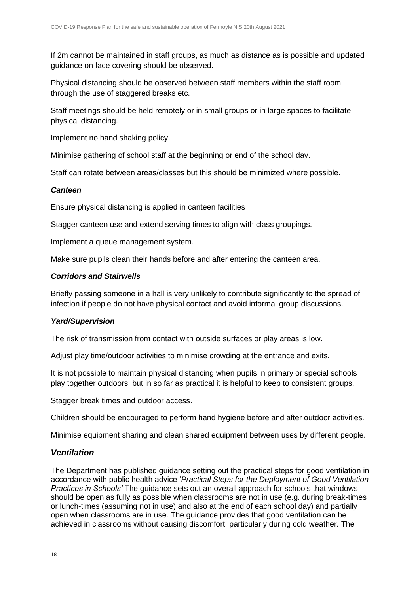If 2m cannot be maintained in staff groups, as much as distance as is possible and updated guidance on face covering should be observed.

Physical distancing should be observed between staff members within the staff room through the use of staggered breaks etc.

Staff meetings should be held remotely or in small groups or in large spaces to facilitate physical distancing.

Implement no hand shaking policy.

Minimise gathering of school staff at the beginning or end of the school day.

Staff can rotate between areas/classes but this should be minimized where possible.

#### *Canteen*

Ensure physical distancing is applied in canteen facilities

Stagger canteen use and extend serving times to align with class groupings.

Implement a queue management system.

Make sure pupils clean their hands before and after entering the canteen area.

#### *Corridors and Stairwells*

Briefly passing someone in a hall is very unlikely to contribute significantly to the spread of infection if people do not have physical contact and avoid informal group discussions.

#### *Yard/Supervision*

The risk of transmission from contact with outside surfaces or play areas is low.

Adjust play time/outdoor activities to minimise crowding at the entrance and exits.

It is not possible to maintain physical distancing when pupils in primary or special schools play together outdoors, but in so far as practical it is helpful to keep to consistent groups.

Stagger break times and outdoor access.

Children should be encouraged to perform hand hygiene before and after outdoor activities.

Minimise equipment sharing and clean shared equipment between uses by different people.

### *Ventilation*

The Department has published guidance setting out the practical steps for good ventilation in accordance with public health advice '*Practical Steps for the Deployment of Good Ventilation Practices in Schools'* The guidance sets out an overall approach for schools that windows should be open as fully as possible when classrooms are not in use (e.g. during break-times or lunch-times (assuming not in use) and also at the end of each school day) and partially open when classrooms are in use. The guidance provides that good ventilation can be achieved in classrooms without causing discomfort, particularly during cold weather. The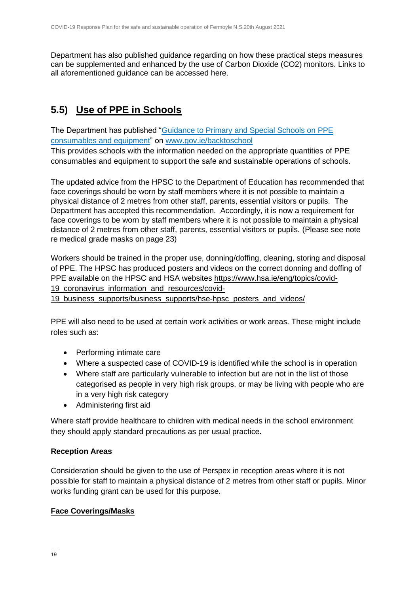Department has also published guidance regarding on how these practical steps measures can be supplemented and enhanced by the use of Carbon Dioxide (CO2) monitors. Links to all aforementioned guidance can be accessed [here.](https://www.gov.ie/en/publication/ad236-guidance-on-ventilation-in-schools/)

### **5.5) Use of PPE in Schools**

The Department has published ["Guidance to Primary and Special Schools on PPE](https://assets.gov.ie/83497/d48ade18-daa1-4610-9390-46e7312a9831.pdf)  [consumables and equipment"](https://assets.gov.ie/83497/d48ade18-daa1-4610-9390-46e7312a9831.pdf) on [www.gov.ie/backtoschool](http://www.gov.ie/backtoschool)

This provides schools with the information needed on the appropriate quantities of PPE consumables and equipment to support the safe and sustainable operations of schools.

The updated advice from the HPSC to the Department of Education has recommended that face coverings should be worn by staff members where it is not possible to maintain a physical distance of 2 metres from other staff, parents, essential visitors or pupils. The Department has accepted this recommendation. Accordingly, it is now a requirement for face coverings to be worn by staff members where it is not possible to maintain a physical distance of 2 metres from other staff, parents, essential visitors or pupils. (Please see note re medical grade masks on page 23)

Workers should be trained in the proper use, donning/doffing, cleaning, storing and disposal of PPE. The HPSC has produced posters and videos on the correct donning and doffing of PPE available on the HPSC and HSA websites [https://www.hsa.ie/eng/topics/covid-](https://www.hsa.ie/eng/topics/covid-19_coronavirus_information_and_resources/covid-19_business_supports/business_supports/hse-hpsc_posters_and_videos/)[19\\_coronavirus\\_information\\_and\\_resources/covid-](https://www.hsa.ie/eng/topics/covid-19_coronavirus_information_and_resources/covid-19_business_supports/business_supports/hse-hpsc_posters_and_videos/)19 business supports/business supports/hse-hpsc posters and videos/

PPE will also need to be used at certain work activities or work areas. These might include roles such as:

- Performing intimate care
- Where a suspected case of COVID-19 is identified while the school is in operation
- Where staff are particularly vulnerable to infection but are not in the list of those categorised as people in very high risk groups, or may be living with people who are in a very high risk category
- Administering first aid

Where staff provide healthcare to children with medical needs in the school environment they should apply standard precautions as per usual practice.

### **Reception Areas**

Consideration should be given to the use of Perspex in reception areas where it is not possible for staff to maintain a physical distance of 2 metres from other staff or pupils. Minor works funding grant can be used for this purpose.

#### **Face Coverings/Masks**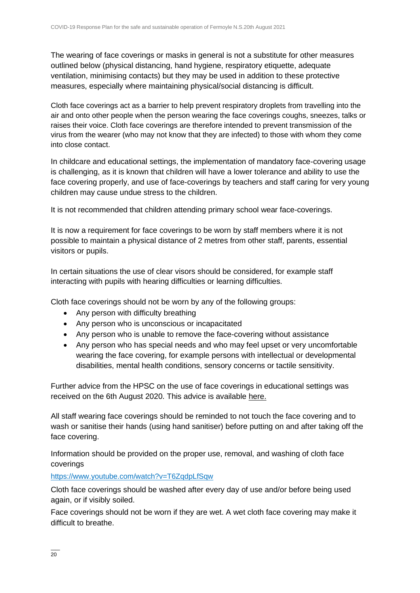The wearing of face coverings or masks in general is not a substitute for other measures outlined below (physical distancing, hand hygiene, respiratory etiquette, adequate ventilation, minimising contacts) but they may be used in addition to these protective measures, especially where maintaining physical/social distancing is difficult.

Cloth face coverings act as a barrier to help prevent respiratory droplets from travelling into the air and onto other people when the person wearing the face coverings coughs, sneezes, talks or raises their voice. Cloth face coverings are therefore intended to prevent transmission of the virus from the wearer (who may not know that they are infected) to those with whom they come into close contact.

In childcare and educational settings, the implementation of mandatory face-covering usage is challenging, as it is known that children will have a lower tolerance and ability to use the face covering properly, and use of face-coverings by teachers and staff caring for very young children may cause undue stress to the children.

It is not recommended that children attending primary school wear face-coverings.

It is now a requirement for face coverings to be worn by staff members where it is not possible to maintain a physical distance of 2 metres from other staff, parents, essential visitors or pupils.

In certain situations the use of clear visors should be considered, for example staff interacting with pupils with hearing difficulties or learning difficulties.

Cloth face coverings should not be worn by any of the following groups:

- Any person with difficulty breathing
- Any person who is unconscious or incapacitated
- Any person who is unable to remove the face-covering without assistance
- Any person who has special needs and who may feel upset or very uncomfortable wearing the face covering, for example persons with intellectual or developmental disabilities, mental health conditions, sensory concerns or tactile sensitivity.

Further advice from the HPSC on the use of face coverings in educational settings was received on the 6th August 2020. This advice is available [here.](https://assets.gov.ie/83506/86fba2a7-26da-4c19-bce3-b0d01aaaf59b.pdf)

All staff wearing face coverings should be reminded to not touch the face covering and to wash or sanitise their hands (using hand sanitiser) before putting on and after taking off the face covering.

Information should be provided on the proper use, removal, and washing of cloth face coverings

<https://www.youtube.com/watch?v=T6ZqdpLfSqw>

Cloth face coverings should be washed after every day of use and/or before being used again, or if visibly soiled.

Face coverings should not be worn if they are wet. A wet cloth face covering may make it difficult to breathe.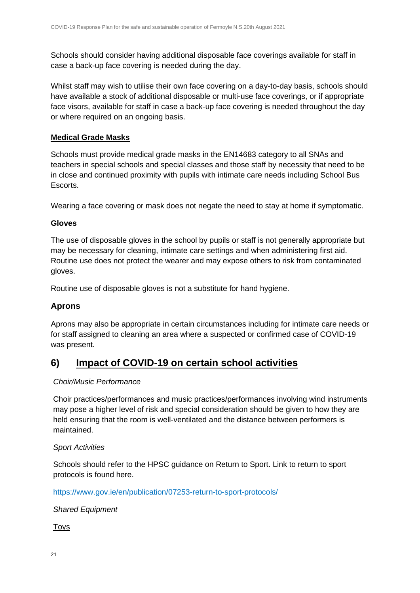Schools should consider having additional disposable face coverings available for staff in case a back-up face covering is needed during the day.

Whilst staff may wish to utilise their own face covering on a day-to-day basis, schools should have available a stock of additional disposable or multi-use face coverings, or if appropriate face visors, available for staff in case a back-up face covering is needed throughout the day or where required on an ongoing basis.

#### **Medical Grade Masks**

Schools must provide medical grade masks in the EN14683 category to all SNAs and teachers in special schools and special classes and those staff by necessity that need to be in close and continued proximity with pupils with intimate care needs including School Bus Escorts.

Wearing a face covering or mask does not negate the need to stay at home if symptomatic.

### **Gloves**

The use of disposable gloves in the school by pupils or staff is not generally appropriate but may be necessary for cleaning, intimate care settings and when administering first aid. Routine use does not protect the wearer and may expose others to risk from contaminated gloves.

Routine use of disposable gloves is not a substitute for hand hygiene.

### **Aprons**

Aprons may also be appropriate in certain circumstances including for intimate care needs or for staff assigned to cleaning an area where a suspected or confirmed case of COVID-19 was present.

### **6) Impact of COVID-19 on certain school activities**

### *Choir/Music Performance*

Choir practices/performances and music practices/performances involving wind instruments may pose a higher level of risk and special consideration should be given to how they are held ensuring that the room is well-ventilated and the distance between performers is maintained.

### *Sport Activities*

Schools should refer to the HPSC guidance on Return to Sport. Link to return to sport protocols is found here.

<https://www.gov.ie/en/publication/07253-return-to-sport-protocols/>

*Shared Equipment*

Toys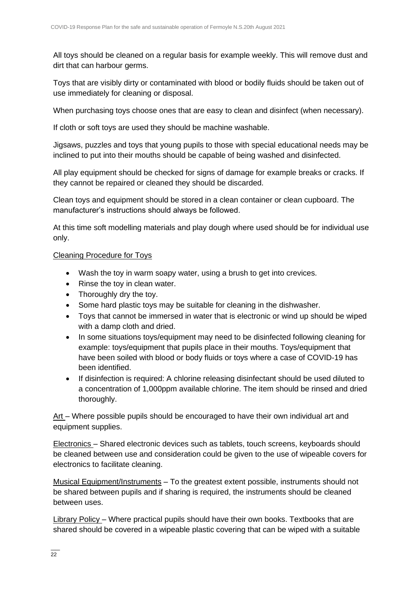All toys should be cleaned on a regular basis for example weekly. This will remove dust and dirt that can harbour germs.

Toys that are visibly dirty or contaminated with blood or bodily fluids should be taken out of use immediately for cleaning or disposal.

When purchasing toys choose ones that are easy to clean and disinfect (when necessary).

If cloth or soft toys are used they should be machine washable.

Jigsaws, puzzles and toys that young pupils to those with special educational needs may be inclined to put into their mouths should be capable of being washed and disinfected.

All play equipment should be checked for signs of damage for example breaks or cracks. If they cannot be repaired or cleaned they should be discarded.

Clean toys and equipment should be stored in a clean container or clean cupboard. The manufacturer's instructions should always be followed.

At this time soft modelling materials and play dough where used should be for individual use only.

#### Cleaning Procedure for Toys

- Wash the toy in warm soapy water, using a brush to get into crevices.
- Rinse the toy in clean water.
- Thoroughly dry the toy.
- Some hard plastic toys may be suitable for cleaning in the dishwasher.
- Toys that cannot be immersed in water that is electronic or wind up should be wiped with a damp cloth and dried.
- In some situations toys/equipment may need to be disinfected following cleaning for example: toys/equipment that pupils place in their mouths. Toys/equipment that have been soiled with blood or body fluids or toys where a case of COVID-19 has been identified.
- If disinfection is required: A chlorine releasing disinfectant should be used diluted to a concentration of 1,000ppm available chlorine. The item should be rinsed and dried thoroughly.

Art – Where possible pupils should be encouraged to have their own individual art and equipment supplies.

Electronics – Shared electronic devices such as tablets, touch screens, keyboards should be cleaned between use and consideration could be given to the use of wipeable covers for electronics to facilitate cleaning.

Musical Equipment/Instruments – To the greatest extent possible, instruments should not be shared between pupils and if sharing is required, the instruments should be cleaned between uses.

Library Policy – Where practical pupils should have their own books. Textbooks that are shared should be covered in a wipeable plastic covering that can be wiped with a suitable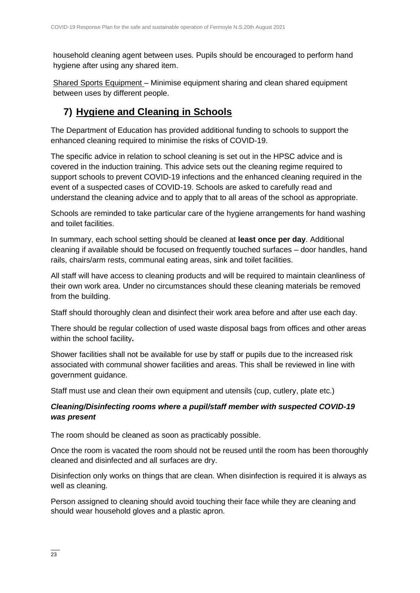household cleaning agent between uses. Pupils should be encouraged to perform hand hygiene after using any shared item.

Shared Sports Equipment – Minimise equipment sharing and clean shared equipment between uses by different people.

### **7) Hygiene and Cleaning in Schools**

The Department of Education has provided additional funding to schools to support the enhanced cleaning required to minimise the risks of COVID-19.

The specific advice in relation to school cleaning is set out in the HPSC advice and is covered in the induction training. This advice sets out the cleaning regime required to support schools to prevent COVID-19 infections and the enhanced cleaning required in the event of a suspected cases of COVID-19. Schools are asked to carefully read and understand the cleaning advice and to apply that to all areas of the school as appropriate.

Schools are reminded to take particular care of the hygiene arrangements for hand washing and toilet facilities.

In summary, each school setting should be cleaned at **least once per day**. Additional cleaning if available should be focused on frequently touched surfaces – door handles, hand rails, chairs/arm rests, communal eating areas, sink and toilet facilities.

All staff will have access to cleaning products and will be required to maintain cleanliness of their own work area. Under no circumstances should these cleaning materials be removed from the building.

Staff should thoroughly clean and disinfect their work area before and after use each day.

There should be regular collection of used waste disposal bags from offices and other areas within the school facility**.** 

Shower facilities shall not be available for use by staff or pupils due to the increased risk associated with communal shower facilities and areas. This shall be reviewed in line with government guidance.

Staff must use and clean their own equipment and utensils (cup, cutlery, plate etc.)

### *Cleaning/Disinfecting rooms where a pupil/staff member with suspected COVID-19 was present*

The room should be cleaned as soon as practicably possible.

Once the room is vacated the room should not be reused until the room has been thoroughly cleaned and disinfected and all surfaces are dry.

Disinfection only works on things that are clean. When disinfection is required it is always as well as cleaning.

Person assigned to cleaning should avoid touching their face while they are cleaning and should wear household gloves and a plastic apron.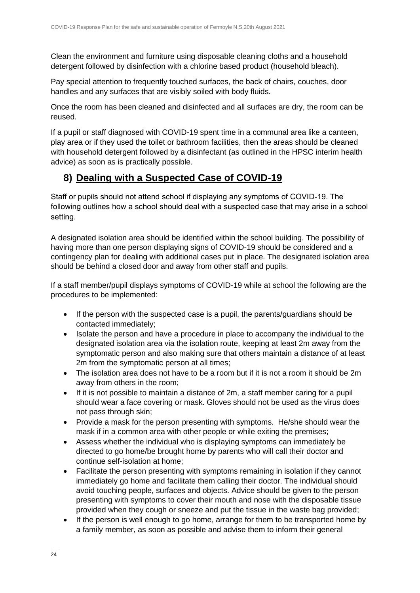Clean the environment and furniture using disposable cleaning cloths and a household detergent followed by disinfection with a chlorine based product (household bleach).

Pay special attention to frequently touched surfaces, the back of chairs, couches, door handles and any surfaces that are visibly soiled with body fluids.

Once the room has been cleaned and disinfected and all surfaces are dry, the room can be reused.

If a pupil or staff diagnosed with COVID-19 spent time in a communal area like a canteen, play area or if they used the toilet or bathroom facilities, then the areas should be cleaned with household detergent followed by a disinfectant (as outlined in the HPSC interim health advice) as soon as is practically possible.

### **8) Dealing with a Suspected Case of COVID-19**

Staff or pupils should not attend school if displaying any symptoms of COVID-19. The following outlines how a school should deal with a suspected case that may arise in a school setting.

A designated isolation area should be identified within the school building. The possibility of having more than one person displaying signs of COVID-19 should be considered and a contingency plan for dealing with additional cases put in place. The designated isolation area should be behind a closed door and away from other staff and pupils.

If a staff member/pupil displays symptoms of COVID-19 while at school the following are the procedures to be implemented:

- If the person with the suspected case is a pupil, the parents/guardians should be contacted immediately;
- Isolate the person and have a procedure in place to accompany the individual to the designated isolation area via the isolation route, keeping at least 2m away from the symptomatic person and also making sure that others maintain a distance of at least 2m from the symptomatic person at all times;
- The isolation area does not have to be a room but if it is not a room it should be 2m away from others in the room;
- If it is not possible to maintain a distance of 2m, a staff member caring for a pupil should wear a face covering or mask. Gloves should not be used as the virus does not pass through skin;
- Provide a mask for the person presenting with symptoms. He/she should wear the mask if in a common area with other people or while exiting the premises;
- Assess whether the individual who is displaying symptoms can immediately be directed to go home/be brought home by parents who will call their doctor and continue self-isolation at home;
- Facilitate the person presenting with symptoms remaining in isolation if they cannot immediately go home and facilitate them calling their doctor. The individual should avoid touching people, surfaces and objects. Advice should be given to the person presenting with symptoms to cover their mouth and nose with the disposable tissue provided when they cough or sneeze and put the tissue in the waste bag provided;
- If the person is well enough to go home, arrange for them to be transported home by a family member, as soon as possible and advise them to inform their general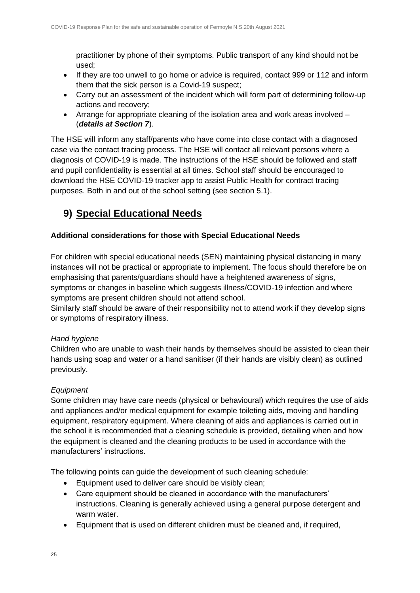practitioner by phone of their symptoms. Public transport of any kind should not be used;

- If they are too unwell to go home or advice is required, contact 999 or 112 and inform them that the sick person is a Covid-19 suspect;
- Carry out an assessment of the incident which will form part of determining follow-up actions and recovery;
- Arrange for appropriate cleaning of the isolation area and work areas involved (*details at Section 7*).

The HSE will inform any staff/parents who have come into close contact with a diagnosed case via the contact tracing process. The HSE will contact all relevant persons where a diagnosis of COVID-19 is made. The instructions of the HSE should be followed and staff and pupil confidentiality is essential at all times. School staff should be encouraged to download the HSE COVID-19 tracker app to assist Public Health for contract tracing purposes. Both in and out of the school setting (see section 5.1).

### **9) Special Educational Needs**

### **Additional considerations for those with Special Educational Needs**

For children with special educational needs (SEN) maintaining physical distancing in many instances will not be practical or appropriate to implement. The focus should therefore be on emphasising that parents/guardians should have a heightened awareness of signs, symptoms or changes in baseline which suggests illness/COVID-19 infection and where symptoms are present children should not attend school.

Similarly staff should be aware of their responsibility not to attend work if they develop signs or symptoms of respiratory illness.

### *Hand hygiene*

Children who are unable to wash their hands by themselves should be assisted to clean their hands using soap and water or a hand sanitiser (if their hands are visibly clean) as outlined previously.

### *Equipment*

Some children may have care needs (physical or behavioural) which requires the use of aids and appliances and/or medical equipment for example toileting aids, moving and handling equipment, respiratory equipment. Where cleaning of aids and appliances is carried out in the school it is recommended that a cleaning schedule is provided, detailing when and how the equipment is cleaned and the cleaning products to be used in accordance with the manufacturers' instructions.

The following points can guide the development of such cleaning schedule:

- Equipment used to deliver care should be visibly clean:
- Care equipment should be cleaned in accordance with the manufacturers' instructions. Cleaning is generally achieved using a general purpose detergent and warm water.
- Equipment that is used on different children must be cleaned and, if required,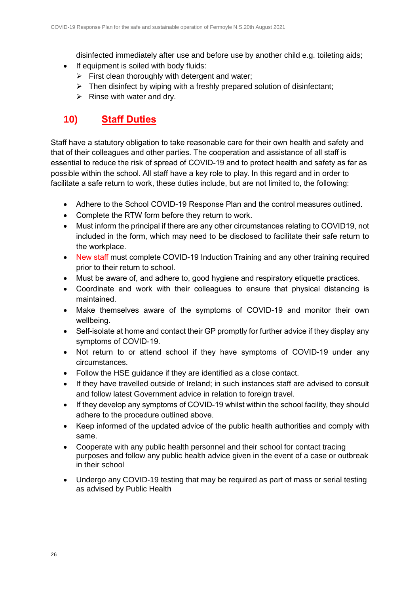disinfected immediately after use and before use by another child e.g. toileting aids;

- If equipment is soiled with body fluids:
	- $\triangleright$  First clean thoroughly with detergent and water;
	- $\triangleright$  Then disinfect by wiping with a freshly prepared solution of disinfectant;
	- $\triangleright$  Rinse with water and drv.

### **10) Staff Duties**

Staff have a statutory obligation to take reasonable care for their own health and safety and that of their colleagues and other parties. The cooperation and assistance of all staff is essential to reduce the risk of spread of COVID-19 and to protect health and safety as far as possible within the school. All staff have a key role to play. In this regard and in order to facilitate a safe return to work, these duties include, but are not limited to, the following:

- Adhere to the School COVID-19 Response Plan and the control measures outlined.
- Complete the RTW form before they return to work.
- Must inform the principal if there are any other circumstances relating to COVID19, not included in the form, which may need to be disclosed to facilitate their safe return to the workplace.
- New staff must complete COVID-19 Induction Training and any other training required prior to their return to school.
- Must be aware of, and adhere to, good hygiene and respiratory etiquette practices.
- Coordinate and work with their colleagues to ensure that physical distancing is maintained.
- Make themselves aware of the symptoms of COVID-19 and monitor their own wellbeing.
- Self-isolate at home and contact their GP promptly for further advice if they display any symptoms of COVID-19.
- Not return to or attend school if they have symptoms of COVID-19 under any circumstances.
- Follow the HSE guidance if they are identified as a close contact.
- If they have travelled outside of Ireland; in such instances staff are advised to consult and follow latest Government advice in relation to foreign travel.
- If they develop any symptoms of COVID-19 whilst within the school facility, they should adhere to the procedure outlined above.
- Keep informed of the updated advice of the public health authorities and comply with same.
- Cooperate with any public health personnel and their school for contact tracing purposes and follow any public health advice given in the event of a case or outbreak in their school
- Undergo any COVID-19 testing that may be required as part of mass or serial testing as advised by Public Health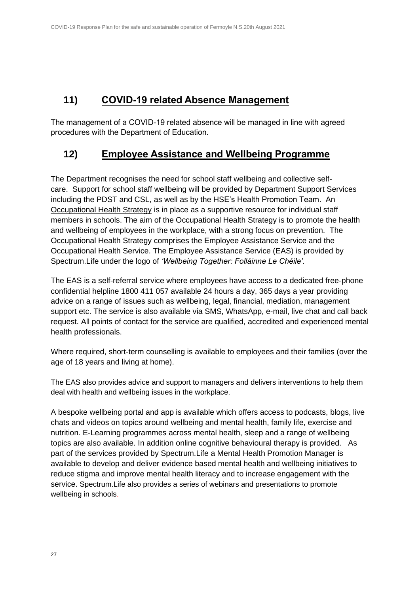### **11) COVID-19 related Absence Management**

The management of a COVID-19 related absence will be managed in line with agreed procedures with the Department of Education.

### **12) Employee Assistance and Wellbeing Programme**

The Department recognises the need for school staff wellbeing and collective selfcare. Support for school staff wellbeing will be provided by Department Support Services including the PDST and CSL, as well as by the HSE's Health Promotion Team. An [Occupational Health Strategy](https://www.education.ie/en/Education-Staff/Information/Occupational-Health-Strategy/) is in place as a supportive resource for individual staff members in schools. The aim of the Occupational Health Strategy is to promote the health and wellbeing of employees in the workplace, with a strong focus on prevention. The Occupational Health Strategy comprises the Employee Assistance Service and the Occupational Health Service. The Employee Assistance Service (EAS) is provided by Spectrum.Life under the logo of *'Wellbeing Together: Folláinne Le Chéile'.* 

The EAS is a self-referral service where employees have access to a dedicated free-phone confidential helpline 1800 411 057 available 24 hours a day, 365 days a year providing advice on a range of issues such as wellbeing, legal, financial, mediation, management support etc. The service is also available via SMS, WhatsApp, e-mail, live chat and call back request. All points of contact for the service are qualified, accredited and experienced mental health professionals.

Where required, short-term counselling is available to employees and their families (over the age of 18 years and living at home).

The EAS also provides advice and support to managers and delivers interventions to help them deal with health and wellbeing issues in the workplace.

A bespoke wellbeing portal and app is available which offers access to podcasts, blogs, live chats and videos on topics around wellbeing and mental health, family life, exercise and nutrition. E-Learning programmes across mental health, sleep and a range of wellbeing topics are also available. In addition online cognitive behavioural therapy is provided. As part of the services provided by Spectrum.Life a Mental Health Promotion Manager is available to develop and deliver evidence based mental health and wellbeing initiatives to reduce stigma and improve mental health literacy and to increase engagement with the service. Spectrum.Life also provides a series of webinars and presentations to promote wellbeing in schools.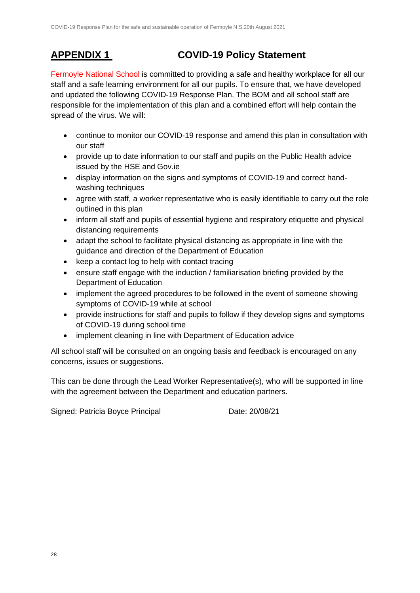## **APPENDIX 1 COVID-19 Policy Statement**

Fermoyle National School is committed to providing a safe and healthy workplace for all our staff and a safe learning environment for all our pupils. To ensure that, we have developed and updated the following COVID-19 Response Plan. The BOM and all school staff are responsible for the implementation of this plan and a combined effort will help contain the spread of the virus. We will:

- continue to monitor our COVID-19 response and amend this plan in consultation with our staff
- provide up to date information to our staff and pupils on the Public Health advice issued by the HSE and Gov.ie
- display information on the signs and symptoms of COVID-19 and correct handwashing techniques
- agree with staff, a worker representative who is easily identifiable to carry out the role outlined in this plan
- inform all staff and pupils of essential hygiene and respiratory etiquette and physical distancing requirements
- adapt the school to facilitate physical distancing as appropriate in line with the guidance and direction of the Department of Education
- keep a contact log to help with contact tracing
- ensure staff engage with the induction / familiarisation briefing provided by the Department of Education
- implement the agreed procedures to be followed in the event of someone showing symptoms of COVID-19 while at school
- provide instructions for staff and pupils to follow if they develop signs and symptoms of COVID-19 during school time
- implement cleaning in line with Department of Education advice

All school staff will be consulted on an ongoing basis and feedback is encouraged on any concerns, issues or suggestions.

This can be done through the Lead Worker Representative(s), who will be supported in line with the agreement between the Department and education partners.

Signed: Patricia Boyce Principal Date: 20/08/21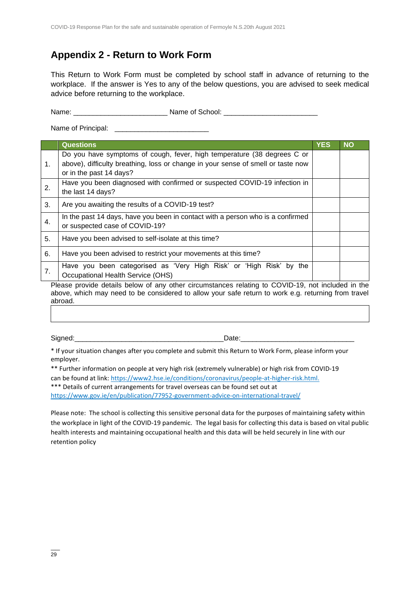### **Appendix 2 - Return to Work Form**

This Return to Work Form must be completed by school staff in advance of returning to the workplace. If the answer is Yes to any of the below questions, you are advised to seek medical advice before returning to the workplace.

Name: \_\_\_\_\_\_\_\_\_\_\_\_\_\_\_\_\_\_\_\_\_\_\_\_ Name of School: \_\_\_\_\_\_\_\_\_\_\_\_\_\_\_\_\_\_\_\_\_\_\_\_

Name of Principal:  $\blacksquare$ 

|                                                                                                     | <b>Questions</b>                                                                 | <b>YES</b> | <b>NO</b> |  |  |  |
|-----------------------------------------------------------------------------------------------------|----------------------------------------------------------------------------------|------------|-----------|--|--|--|
|                                                                                                     | Do you have symptoms of cough, fever, high temperature (38 degrees C or          |            |           |  |  |  |
| 1.                                                                                                  | above), difficulty breathing, loss or change in your sense of smell or taste now |            |           |  |  |  |
|                                                                                                     | or in the past 14 days?                                                          |            |           |  |  |  |
| 2.                                                                                                  | Have you been diagnosed with confirmed or suspected COVID-19 infection in        |            |           |  |  |  |
|                                                                                                     | the last 14 days?                                                                |            |           |  |  |  |
| 3.                                                                                                  | Are you awaiting the results of a COVID-19 test?                                 |            |           |  |  |  |
|                                                                                                     | In the past 14 days, have you been in contact with a person who is a confirmed   |            |           |  |  |  |
| 4.                                                                                                  | or suspected case of COVID-19?                                                   |            |           |  |  |  |
|                                                                                                     |                                                                                  |            |           |  |  |  |
| 5.                                                                                                  | Have you been advised to self-isolate at this time?                              |            |           |  |  |  |
| 6.                                                                                                  | Have you been advised to restrict your movements at this time?                   |            |           |  |  |  |
|                                                                                                     |                                                                                  |            |           |  |  |  |
| 7.                                                                                                  | Have you been categorised as 'Very High Risk' or 'High Risk' by the              |            |           |  |  |  |
|                                                                                                     | Occupational Health Service (OHS)                                                |            |           |  |  |  |
| Please provide details below of any other circumstances relating to COVID-19, not included in the   |                                                                                  |            |           |  |  |  |
| above, which may need to be considered to allow your safe return to work e.g. returning from travel |                                                                                  |            |           |  |  |  |

abroad.

Signed:\_\_\_\_\_\_\_\_\_\_\_\_\_\_\_\_\_\_\_\_\_\_\_\_\_\_\_\_\_\_\_\_\_\_\_\_\_\_Date:\_\_\_\_\_\_\_\_\_\_\_\_\_\_\_\_\_\_\_\_\_\_\_\_\_\_\_\_\_

\* If your situation changes after you complete and submit this Return to Work Form, please inform your employer.

\*\* Further information on people at very high risk (extremely vulnerable) or high risk from COVID-19 can be found at link: [https://www2.hse.ie/conditions/coronavirus/people-at-higher-risk.html.](https://www2.hse.ie/conditions/covid19/people-at-higher-risk/overview/)  \*\*\* Details of current arrangements for travel overseas can be found set out at <https://www.gov.ie/en/publication/77952-government-advice-on-international-travel/>

Please note: The school is collecting this sensitive personal data for the purposes of maintaining safety within the workplace in light of the COVID-19 pandemic. The legal basis for collecting this data is based on vital public health interests and maintaining occupational health and this data will be held securely in line with our retention policy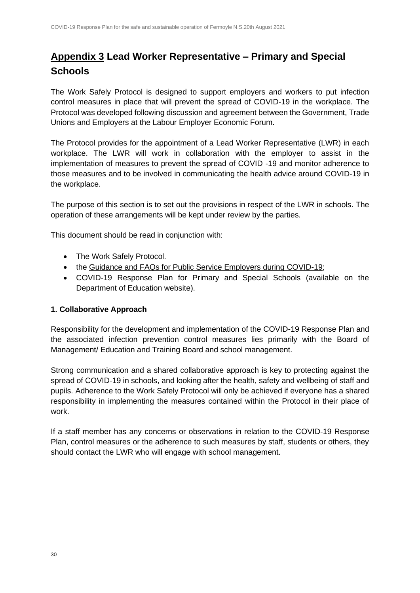### **Appendix 3 Lead Worker Representative – Primary and Special Schools**

The Work Safely Protocol is designed to support employers and workers to put infection control measures in place that will prevent the spread of COVID-19 in the workplace. The Protocol was developed following discussion and agreement between the Government, Trade Unions and Employers at the Labour Employer Economic Forum.

The Protocol provides for the appointment of a Lead Worker Representative (LWR) in each workplace. The LWR will work in collaboration with the employer to assist in the implementation of measures to prevent the spread of COVID -19 and monitor adherence to those measures and to be involved in communicating the health advice around COVID-19 in the workplace.

The purpose of this section is to set out the provisions in respect of the LWR in schools. The operation of these arrangements will be kept under review by the parties.

This document should be read in conjunction with:

- The Work Safely Protocol.
- the [Guidance and FAQs for Public Service Employers during COVID-19;](https://www.gov.ie/en/news/092fff-update-on-working-arrangements-and-leave-associated-with-covid-19-fo/)
- COVID-19 Response Plan for Primary and Special Schools (available on the Department of Education website).

### **1. Collaborative Approach**

Responsibility for the development and implementation of the COVID-19 Response Plan and the associated infection prevention control measures lies primarily with the Board of Management/ Education and Training Board and school management.

Strong communication and a shared collaborative approach is key to protecting against the spread of COVID-19 in schools, and looking after the health, safety and wellbeing of staff and pupils. Adherence to the Work Safely Protocol will only be achieved if everyone has a shared responsibility in implementing the measures contained within the Protocol in their place of work.

If a staff member has any concerns or observations in relation to the COVID-19 Response Plan, control measures or the adherence to such measures by staff, students or others, they should contact the LWR who will engage with school management.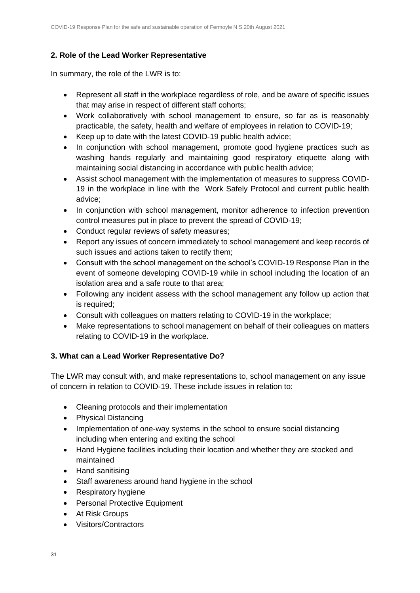### **2. Role of the Lead Worker Representative**

In summary, the role of the LWR is to:

- Represent all staff in the workplace regardless of role, and be aware of specific issues that may arise in respect of different staff cohorts;
- Work collaboratively with school management to ensure, so far as is reasonably practicable, the safety, health and welfare of employees in relation to COVID-19;
- Keep up to date with the latest COVID-19 public health advice;
- In conjunction with school management, promote good hygiene practices such as washing hands regularly and maintaining good respiratory etiquette along with maintaining social distancing in accordance with public health advice;
- Assist school management with the implementation of measures to suppress COVID-19 in the workplace in line with the Work Safely Protocol and current public health advice;
- In conjunction with school management, monitor adherence to infection prevention control measures put in place to prevent the spread of COVID-19;
- Conduct regular reviews of safety measures;
- Report any issues of concern immediately to school management and keep records of such issues and actions taken to rectify them;
- Consult with the school management on the school's COVID-19 Response Plan in the event of someone developing COVID-19 while in school including the location of an isolation area and a safe route to that area;
- Following any incident assess with the school management any follow up action that is required;
- Consult with colleagues on matters relating to COVID-19 in the workplace;
- Make representations to school management on behalf of their colleagues on matters relating to COVID-19 in the workplace.

### **3. What can a Lead Worker Representative Do?**

The LWR may consult with, and make representations to, school management on any issue of concern in relation to COVID-19. These include issues in relation to:

- Cleaning protocols and their implementation
- Physical Distancing
- Implementation of one-way systems in the school to ensure social distancing including when entering and exiting the school
- Hand Hygiene facilities including their location and whether they are stocked and maintained
- Hand sanitising
- Staff awareness around hand hygiene in the school
- Respiratory hygiene
- Personal Protective Equipment
- At Risk Groups
- Visitors/Contractors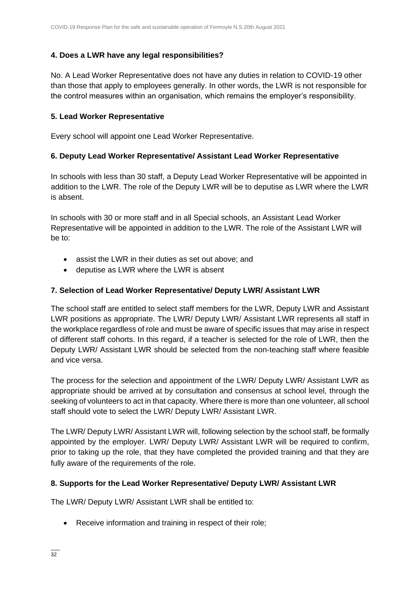### **4. Does a LWR have any legal responsibilities?**

No. A Lead Worker Representative does not have any duties in relation to COVID-19 other than those that apply to employees generally. In other words, the LWR is not responsible for the control measures within an organisation, which remains the employer's responsibility.

### **5. Lead Worker Representative**

Every school will appoint one Lead Worker Representative.

#### **6. Deputy Lead Worker Representative/ Assistant Lead Worker Representative**

In schools with less than 30 staff, a Deputy Lead Worker Representative will be appointed in addition to the LWR. The role of the Deputy LWR will be to deputise as LWR where the LWR is absent.

In schools with 30 or more staff and in all Special schools, an Assistant Lead Worker Representative will be appointed in addition to the LWR. The role of the Assistant LWR will be to:

- assist the LWR in their duties as set out above; and
- deputise as LWR where the LWR is absent

#### **7. Selection of Lead Worker Representative/ Deputy LWR/ Assistant LWR**

The school staff are entitled to select staff members for the LWR, Deputy LWR and Assistant LWR positions as appropriate. The LWR/ Deputy LWR/ Assistant LWR represents all staff in the workplace regardless of role and must be aware of specific issues that may arise in respect of different staff cohorts. In this regard, if a teacher is selected for the role of LWR, then the Deputy LWR/ Assistant LWR should be selected from the non-teaching staff where feasible and vice versa.

The process for the selection and appointment of the LWR/ Deputy LWR/ Assistant LWR as appropriate should be arrived at by consultation and consensus at school level, through the seeking of volunteers to act in that capacity. Where there is more than one volunteer, all school staff should vote to select the LWR/ Deputy LWR/ Assistant LWR.

The LWR/ Deputy LWR/ Assistant LWR will, following selection by the school staff, be formally appointed by the employer. LWR/ Deputy LWR/ Assistant LWR will be required to confirm, prior to taking up the role, that they have completed the provided training and that they are fully aware of the requirements of the role.

#### **8. Supports for the Lead Worker Representative/ Deputy LWR/ Assistant LWR**

The LWR/ Deputy LWR/ Assistant LWR shall be entitled to:

• Receive information and training in respect of their role;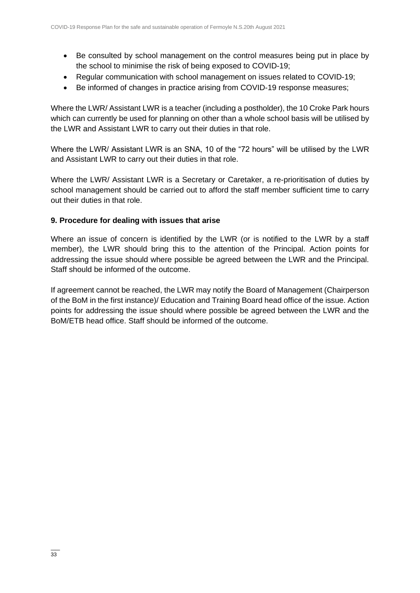- Be consulted by school management on the control measures being put in place by the school to minimise the risk of being exposed to COVID-19;
- Regular communication with school management on issues related to COVID-19;
- Be informed of changes in practice arising from COVID-19 response measures;

Where the LWR/ Assistant LWR is a teacher (including a postholder), the 10 Croke Park hours which can currently be used for planning on other than a whole school basis will be utilised by the LWR and Assistant LWR to carry out their duties in that role.

Where the LWR/ Assistant LWR is an SNA, 10 of the "72 hours" will be utilised by the LWR and Assistant LWR to carry out their duties in that role.

Where the LWR/ Assistant LWR is a Secretary or Caretaker, a re-prioritisation of duties by school management should be carried out to afford the staff member sufficient time to carry out their duties in that role.

#### **9. Procedure for dealing with issues that arise**

Where an issue of concern is identified by the LWR (or is notified to the LWR by a staff member), the LWR should bring this to the attention of the Principal. Action points for addressing the issue should where possible be agreed between the LWR and the Principal. Staff should be informed of the outcome.

If agreement cannot be reached, the LWR may notify the Board of Management (Chairperson of the BoM in the first instance)/ Education and Training Board head office of the issue. Action points for addressing the issue should where possible be agreed between the LWR and the BoM/ETB head office. Staff should be informed of the outcome.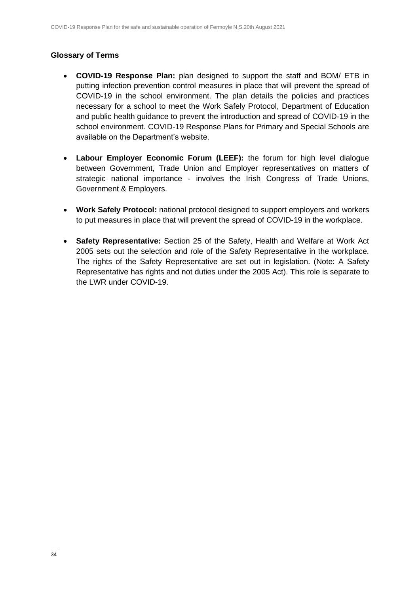#### **Glossary of Terms**

- **COVID-19 Response Plan:** plan designed to support the staff and BOM/ ETB in putting infection prevention control measures in place that will prevent the spread of COVID-19 in the school environment. The plan details the policies and practices necessary for a school to meet the Work Safely Protocol, Department of Education and public health guidance to prevent the introduction and spread of COVID-19 in the school environment. COVID-19 Response Plans for Primary and Special Schools are available on the Department's website.
- **Labour Employer Economic Forum (LEEF):** the forum for high level dialogue between Government, Trade Union and Employer representatives on matters of strategic national importance - involves the Irish Congress of Trade Unions, Government & Employers.
- **Work Safely Protocol:** national protocol designed to support employers and workers to put measures in place that will prevent the spread of COVID-19 in the workplace.
- **Safety Representative:** Section 25 of the Safety, Health and Welfare at Work Act 2005 sets out the selection and role of the Safety Representative in the workplace. The rights of the Safety Representative are set out in legislation. (Note: A Safety Representative has rights and not duties under the 2005 Act). This role is separate to the LWR under COVID-19.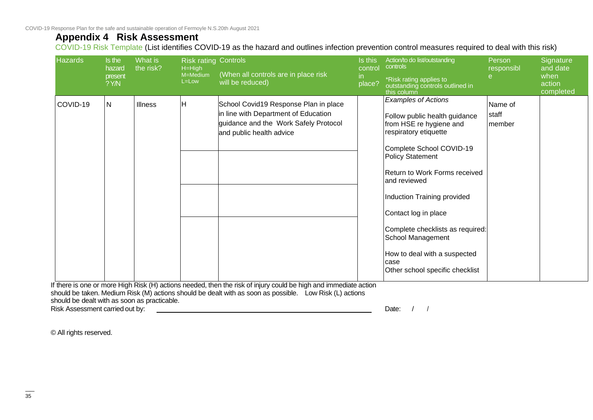### **Appendix 4 Risk Assessment**

COVID-19 Risk Template (List identifies COVID-19 as the hazard and outlines infection prevention control measures required to deal with this risk)

| <b>Hazards</b> | Is the<br>hazard<br>present<br>?Y/N                                                                              | What is<br>the risk? | <b>Risk rating Controls</b><br>$H = High$<br>M=Medium<br>L=Low | (When all controls are in place risk<br>will be reduced)                                                                                           | Is this<br>$\overline{\text{control}}$<br>in<br>place? | Action/to do list/outstanding<br>controls<br>*Risk rating applies to<br>outstanding controls outlined in<br>this column                                                                                                                                                                                                                                                                                             | Person<br>responsibl       | Signature<br>and date<br>when<br>action<br>completed |  |  |
|----------------|------------------------------------------------------------------------------------------------------------------|----------------------|----------------------------------------------------------------|----------------------------------------------------------------------------------------------------------------------------------------------------|--------------------------------------------------------|---------------------------------------------------------------------------------------------------------------------------------------------------------------------------------------------------------------------------------------------------------------------------------------------------------------------------------------------------------------------------------------------------------------------|----------------------------|------------------------------------------------------|--|--|
| COVID-19       | N                                                                                                                | <b>Illness</b>       | H                                                              | School Covid19 Response Plan in place<br>in line with Department of Education<br>guidance and the Work Safely Protocol<br>and public health advice |                                                        | <b>Examples of Actions</b><br>Follow public health guidance<br>from HSE re hygiene and<br>respiratory etiquette<br>Complete School COVID-19<br><b>Policy Statement</b><br>Return to Work Forms received<br>land reviewed<br>Induction Training provided<br>Contact log in place<br>Complete checklists as required:<br>School Management<br>How to deal with a suspected<br>case<br>Other school specific checklist | Name of<br>staff<br>member |                                                      |  |  |
|                | If there is one or more High Risk (H) actions needed, then the risk of injury could be high and immediate action |                      |                                                                |                                                                                                                                                    |                                                        |                                                                                                                                                                                                                                                                                                                                                                                                                     |                            |                                                      |  |  |

should be taken. Medium Risk (M) actions should be dealt with as soon as possible. Low Risk (L) actions should be dealt with as soon as practicable.<br>Risk Assessment carried out by: Risk Assessment carried out by: Date: / /

© All rights reserved.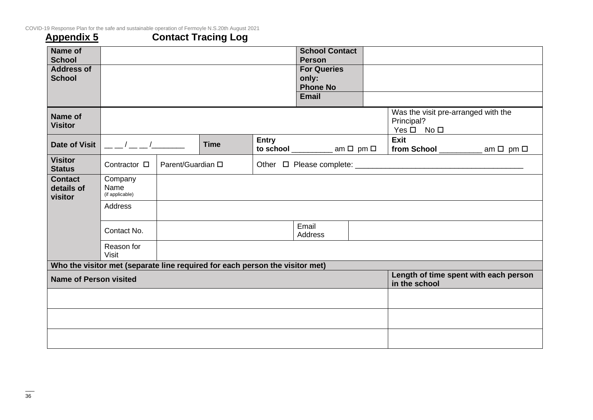COVID-19 Response Plan for the safe and sustainable operation of Fermoyle N.S.20th August 2021

### **Appendix 5 Contact Tracing Log**

| Name of<br><b>School</b>                |                                                                              |                   |             |              | <b>School Contact</b><br><b>Person</b>         |               |                                                                         |  |
|-----------------------------------------|------------------------------------------------------------------------------|-------------------|-------------|--------------|------------------------------------------------|---------------|-------------------------------------------------------------------------|--|
| <b>Address of</b><br><b>School</b>      |                                                                              |                   |             |              | <b>For Queries</b><br>only:<br><b>Phone No</b> |               |                                                                         |  |
|                                         |                                                                              |                   |             |              | <b>Email</b>                                   |               |                                                                         |  |
| Name of<br><b>Visitor</b>               |                                                                              |                   |             |              |                                                |               | Was the visit pre-arranged with the<br>Principal?<br>$Yes \Box No \Box$ |  |
| <b>Date of Visit</b>                    | $\sqrt{2}$                                                                   |                   | <b>Time</b> | <b>Entry</b> | to school $\_\_\_\_\_\$ am $\Box$ pm $\Box$    |               | <b>Exit</b><br>from School ___________ am □ pm □                        |  |
| <b>Visitor</b><br><b>Status</b>         | Contractor $\square$                                                         | Parent/Guardian □ |             |              |                                                |               |                                                                         |  |
| <b>Contact</b><br>details of<br>visitor | Company<br>Name<br>(if applicable)                                           |                   |             |              |                                                |               |                                                                         |  |
|                                         | <b>Address</b>                                                               |                   |             |              |                                                |               |                                                                         |  |
|                                         | Contact No.                                                                  |                   |             |              | Email<br>Address                               |               |                                                                         |  |
|                                         | Reason for<br>Visit                                                          |                   |             |              |                                                |               |                                                                         |  |
|                                         | Who the visitor met (separate line required for each person the visitor met) |                   |             |              |                                                |               |                                                                         |  |
| <b>Name of Person visited</b>           |                                                                              |                   |             |              |                                                | in the school | Length of time spent with each person                                   |  |
|                                         |                                                                              |                   |             |              |                                                |               |                                                                         |  |
|                                         |                                                                              |                   |             |              |                                                |               |                                                                         |  |
|                                         |                                                                              |                   |             |              |                                                |               |                                                                         |  |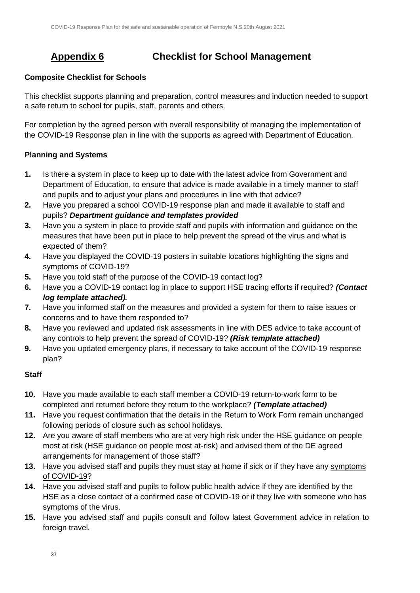### **Appendix 6 Checklist for School Management**

### **Composite Checklist for Schools**

This checklist supports planning and preparation, control measures and induction needed to support a safe return to school for pupils, staff, parents and others.

For completion by the agreed person with overall responsibility of managing the implementation of the COVID-19 Response plan in line with the supports as agreed with Department of Education.

### **Planning and Systems**

- **1.** Is there a system in place to keep up to date with the latest advice from Government and Department of Education, to ensure that advice is made available in a timely manner to staff and pupils and to adjust your plans and procedures in line with that advice?
- **2.** Have you prepared a school COVID-19 response plan and made it available to staff and pupils? *Department guidance and templates provided*
- **3.** Have you a system in place to provide staff and pupils with information and guidance on the measures that have been put in place to help prevent the spread of the virus and what is expected of them?
- **4.** Have you displayed the COVID-19 posters in suitable locations highlighting the signs and symptoms of COVID-19?
- **5.** Have you told staff of the purpose of the COVID-19 contact log?
- **6.** Have you a COVID-19 contact log in place to support HSE tracing efforts if required? *(Contact log template attached).*
- **7.** Have you informed staff on the measures and provided a system for them to raise issues or concerns and to have them responded to?
- **8.** Have you reviewed and updated risk assessments in line with DES advice to take account of any controls to help prevent the spread of COVID-19? *(Risk template attached)*
- **9.** Have you updated emergency plans, if necessary to take account of the COVID-19 response plan?

### **Staff**

- **10.** Have you made available to each staff member a COVID-19 return-to-work form to be completed and returned before they return to the workplace? *(Template attached)*
- **11.** Have you request confirmation that the details in the Return to Work Form remain unchanged following periods of closure such as school holidays.
- **12.** Are you aware of staff members who are at very high risk under the HSE guidance on people most at risk (HSE guidance on people most at-risk) and advised them of the DE agreed arrangements for management of those staff?
- **13.** Have you advised staff and pupils they must stay at home if sick or if they have any [symptoms](https://www2.hse.ie/conditions/coronavirus/symptoms.html)  [of COVID-19?](https://www2.hse.ie/conditions/coronavirus/symptoms.html)
- **14.** Have you advised staff and pupils to follow public health advice if they are identified by the HSE as a close contact of a confirmed case of COVID-19 or if they live with someone who has symptoms of the virus.
- **15.** Have you advised staff and pupils consult and follow latest Government advice in relation to foreign travel.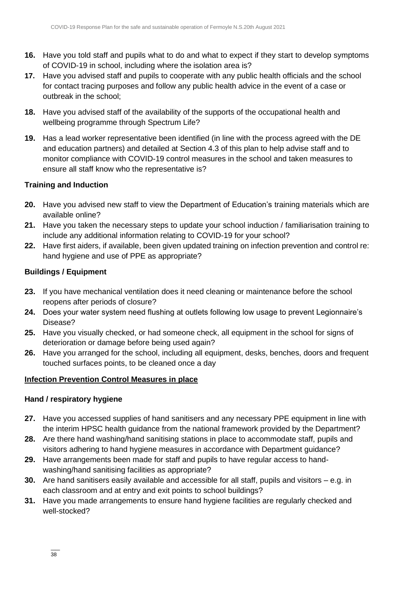- **16.** Have you told staff and pupils what to do and what to expect if they start to develop symptoms of COVID-19 in school, including where the isolation area is?
- **17.** Have you advised staff and pupils to cooperate with any public health officials and the school for contact tracing purposes and follow any public health advice in the event of a case or outbreak in the school;
- **18.** Have you advised staff of the availability of the supports of the occupational health and wellbeing programme through Spectrum Life?
- **19.** Has a lead worker representative been identified (in line with the process agreed with the DE and education partners) and detailed at Section 4.3 of this plan to help advise staff and to monitor compliance with COVID-19 control measures in the school and taken measures to ensure all staff know who the representative is?

### **Training and Induction**

- **20.** Have you advised new staff to view the Department of Education's training materials which are available online?
- **21.** Have you taken the necessary steps to update your school induction / familiarisation training to include any additional information relating to COVID-19 for your school?
- **22.** Have first aiders, if available, been given updated training on infection prevention and control re: hand hygiene and use of PPE as appropriate?

### **Buildings / Equipment**

- **23.** If you have mechanical ventilation does it need cleaning or maintenance before the school reopens after periods of closure?
- **24.** Does your water system need flushing at outlets following low usage to prevent Legionnaire's Disease?
- **25.** Have you visually checked, or had someone check, all equipment in the school for signs of deterioration or damage before being used again?
- **26.** Have you arranged for the school, including all equipment, desks, benches, doors and frequent touched surfaces points, to be cleaned once a day

### **Infection Prevention Control Measures in place**

### **Hand / respiratory hygiene**

- **27.** Have you accessed supplies of hand sanitisers and any necessary PPE equipment in line with the interim HPSC health guidance from the national framework provided by the Department?
- **28.** Are there hand washing/hand sanitising stations in place to accommodate staff, pupils and visitors adhering to hand hygiene measures in accordance with Department guidance?
- **29.** Have arrangements been made for staff and pupils to have regular access to handwashing/hand sanitising facilities as appropriate?
- **30.** Are hand sanitisers easily available and accessible for all staff, pupils and visitors e.g. in each classroom and at entry and exit points to school buildings?
- **31.** Have you made arrangements to ensure hand hygiene facilities are regularly checked and well-stocked?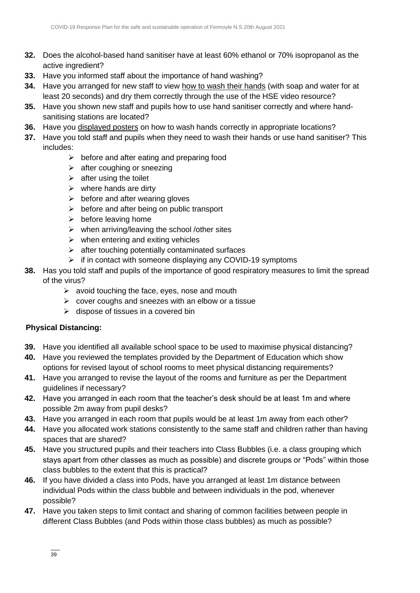- **32.** Does the alcohol-based hand sanitiser have at least 60% ethanol or 70% isopropanol as the active ingredient?
- **33.** Have you informed staff about the importance of hand washing?
- **34.** Have you arranged for new staff to view [how to wash their hands](https://www2.hse.ie/wellbeing/how-to-wash-your-hands.html) (with soap and water for at least 20 seconds) and dry them correctly through the use of the HSE video resource?
- **35.** Have you shown new staff and pupils how to use hand sanitiser correctly and where handsanitising stations are located?
- **36.** Have you [displayed posters](https://www.gov.ie/en/collection/ee0781-covid-19-posters-for-public-use/) on how to wash hands correctly in appropriate locations?
- **37.** Have you told staff and pupils when they need to wash their hands or use hand sanitiser? This includes:
	- $\triangleright$  before and after eating and preparing food
	- $\triangleright$  after coughing or sneezing
	- $\triangleright$  after using the toilet
	- $\triangleright$  where hands are dirty
	- $\triangleright$  before and after wearing gloves
	- $\triangleright$  before and after being on public transport
	- $\triangleright$  before leaving home
	- $\triangleright$  when arriving/leaving the school /other sites
	- $\triangleright$  when entering and exiting vehicles
	- $\triangleright$  after touching potentially contaminated surfaces
	- ➢ if in contact with someone displaying any COVID-19 symptoms
- **38.** Has you told staff and pupils of the importance of good respiratory measures to limit the spread of the virus?
	- $\triangleright$  avoid touching the face, eyes, nose and mouth
	- $\triangleright$  cover coughs and sneezes with an elbow or a tissue
	- $\triangleright$  dispose of tissues in a covered bin

#### **Physical Distancing:**

- **39.** Have you identified all available school space to be used to maximise physical distancing?
- **40.** Have you reviewed the templates provided by the Department of Education which show options for revised layout of school rooms to meet physical distancing requirements?
- **41.** Have you arranged to revise the layout of the rooms and furniture as per the Department guidelines if necessary?
- **42.** Have you arranged in each room that the teacher's desk should be at least 1m and where possible 2m away from pupil desks?
- **43.** Have you arranged in each room that pupils would be at least 1m away from each other?
- **44.** Have you allocated work stations consistently to the same staff and children rather than having spaces that are shared?
- **45.** Have you structured pupils and their teachers into Class Bubbles (i.e. a class grouping which stays apart from other classes as much as possible) and discrete groups or "Pods" within those class bubbles to the extent that this is practical?
- **46.** If you have divided a class into Pods, have you arranged at least 1m distance between individual Pods within the class bubble and between individuals in the pod, whenever possible?
- **47.** Have you taken steps to limit contact and sharing of common facilities between people in different Class Bubbles (and Pods within those class bubbles) as much as possible?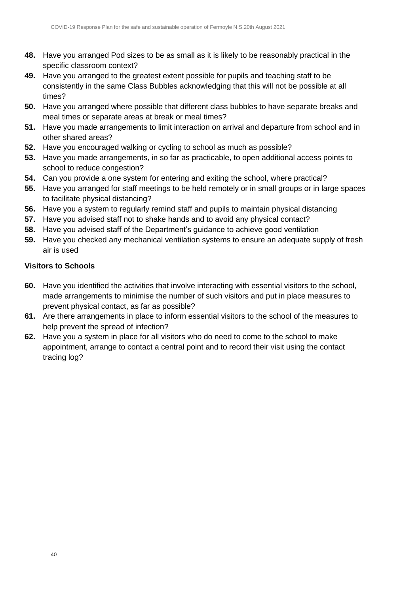- **48.** Have you arranged Pod sizes to be as small as it is likely to be reasonably practical in the specific classroom context?
- **49.** Have you arranged to the greatest extent possible for pupils and teaching staff to be consistently in the same Class Bubbles acknowledging that this will not be possible at all times?
- **50.** Have you arranged where possible that different class bubbles to have separate breaks and meal times or separate areas at break or meal times?
- **51.** Have you made arrangements to limit interaction on arrival and departure from school and in other shared areas?
- **52.** Have you encouraged walking or cycling to school as much as possible?
- **53.** Have you made arrangements, in so far as practicable, to open additional access points to school to reduce congestion?
- **54.** Can you provide a one system for entering and exiting the school, where practical?
- **55.** Have you arranged for staff meetings to be held remotely or in small groups or in large spaces to facilitate physical distancing?
- **56.** Have you a system to regularly remind staff and pupils to maintain physical distancing
- **57.** Have you advised staff not to shake hands and to avoid any physical contact?
- **58.** Have you advised staff of the Department's guidance to achieve good ventilation
- **59.** Have you checked any mechanical ventilation systems to ensure an adequate supply of fresh air is used

#### **Visitors to Schools**

- **60.** Have you identified the activities that involve interacting with essential visitors to the school, made arrangements to minimise the number of such visitors and put in place measures to prevent physical contact, as far as possible?
- **61.** Are there arrangements in place to inform essential visitors to the school of the measures to help prevent the spread of infection?
- **62.** Have you a system in place for all visitors who do need to come to the school to make appointment, arrange to contact a central point and to record their visit using the contact tracing log?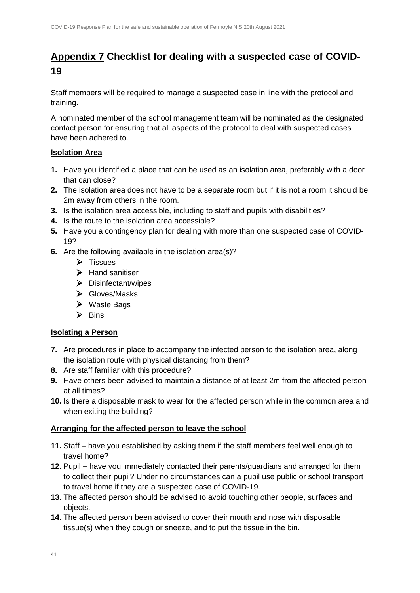### **Appendix 7 Checklist for dealing with a suspected case of COVID-19**

Staff members will be required to manage a suspected case in line with the protocol and training.

A nominated member of the school management team will be nominated as the designated contact person for ensuring that all aspects of the protocol to deal with suspected cases have been adhered to.

### **Isolation Area**

- **1.** Have you identified a place that can be used as an isolation area, preferably with a door that can close?
- **2.** The isolation area does not have to be a separate room but if it is not a room it should be 2m away from others in the room.
- **3.** Is the isolation area accessible, including to staff and pupils with disabilities?
- **4.** Is the route to the isolation area accessible?
- **5.** Have you a contingency plan for dealing with more than one suspected case of COVID-19?
- **6.** Are the following available in the isolation area(s)?
	- ➢ Tissues
	- ➢ Hand sanitiser
	- ➢ Disinfectant/wipes
	- ➢ Gloves/Masks
	- ➢ Waste Bags
	- ➢ Bins

#### **Isolating a Person**

- **7.** Are procedures in place to accompany the infected person to the isolation area, along the isolation route with physical distancing from them?
- **8.** Are staff familiar with this procedure?
- **9.** Have others been advised to maintain a distance of at least 2m from the affected person at all times?
- **10.** Is there a disposable mask to wear for the affected person while in the common area and when exiting the building?

### **Arranging for the affected person to leave the school**

- **11.** Staff have you established by asking them if the staff members feel well enough to travel home?
- **12.** Pupil have you immediately contacted their parents/guardians and arranged for them to collect their pupil? Under no circumstances can a pupil use public or school transport to travel home if they are a suspected case of COVID-19.
- **13.** The affected person should be advised to avoid touching other people, surfaces and objects.
- **14.** The affected person been advised to cover their mouth and nose with disposable tissue(s) when they cough or sneeze, and to put the tissue in the bin.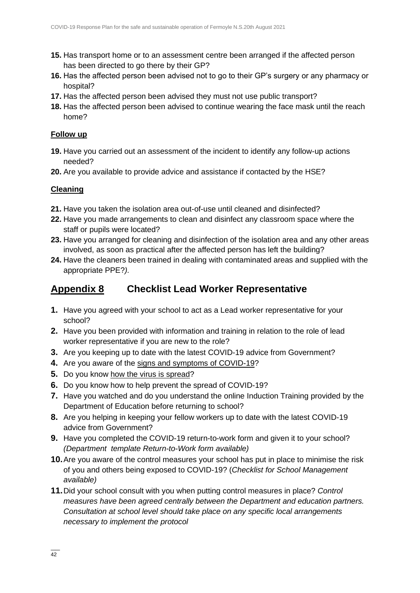- **15.** Has transport home or to an assessment centre been arranged if the affected person has been directed to go there by their GP?
- **16.** Has the affected person been advised not to go to their GP's surgery or any pharmacy or hospital?
- **17.** Has the affected person been advised they must not use public transport?
- **18.** Has the affected person been advised to continue wearing the face mask until the reach home?

### **Follow up**

- **19.** Have you carried out an assessment of the incident to identify any follow-up actions needed?
- **20.** Are you available to provide advice and assistance if contacted by the HSE?

#### **Cleaning**

- **21.** Have you taken the isolation area out-of-use until cleaned and disinfected?
- **22.** Have you made arrangements to clean and disinfect any classroom space where the staff or pupils were located?
- **23.** Have you arranged for cleaning and disinfection of the isolation area and any other areas involved, as soon as practical after the affected person has left the building?
- **24.** Have the cleaners been trained in dealing with contaminated areas and supplied with the appropriate PPE?*).*

### **Appendix 8 Checklist Lead Worker Representative**

- **1.** Have you agreed with your school to act as a Lead worker representative for your school?
- **2.** Have you been provided with information and training in relation to the role of lead worker representative if you are new to the role?
- **3.** Are you keeping up to date with the latest COVID-19 advice from Government?
- **4.** Are you aware of the [signs and symptoms of COVID-19?](https://www2.hse.ie/conditions/coronavirus/symptoms.html)
- **5.** Do you know [how the virus is spread?](https://www2.hse.ie/conditions/coronavirus/how-coronavirus-is-spread.html)
- **6.** Do you know how to help prevent the spread of COVID-19?
- **7.** Have you watched and do you understand the online Induction Training provided by the Department of Education before returning to school?
- **8.** Are you helping in keeping your fellow workers up to date with the latest COVID-19 advice from Government?
- **9.** Have you completed the COVID-19 return-to-work form and given it to your school? *(Department template Return-to-Work form available)*
- **10.**Are you aware of the control measures your school has put in place to minimise the risk of you and others being exposed to COVID-19? (*Checklist for School Management available)*
- **11.**Did your school consult with you when putting control measures in place? *Control measures have been agreed centrally between the Department and education partners. Consultation at school level should take place on any specific local arrangements necessary to implement the protocol*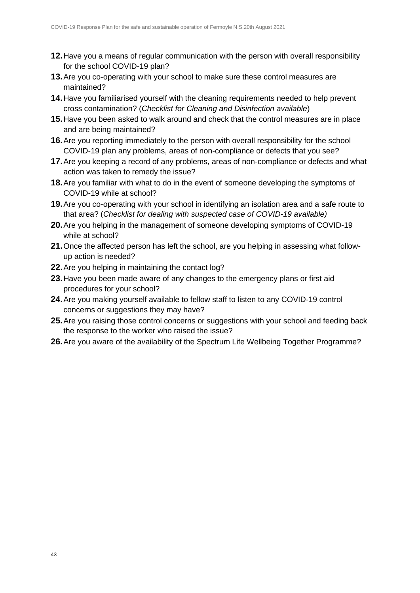- **12.**Have you a means of regular communication with the person with overall responsibility for the school COVID-19 plan?
- **13.**Are you co-operating with your school to make sure these control measures are maintained?
- **14.**Have you familiarised yourself with the cleaning requirements needed to help prevent cross contamination? (*Checklist for Cleaning and Disinfection available*)
- **15.**Have you been asked to walk around and check that the control measures are in place and are being maintained?
- **16.**Are you reporting immediately to the person with overall responsibility for the school COVID-19 plan any problems, areas of non-compliance or defects that you see?
- **17.**Are you keeping a record of any problems, areas of non-compliance or defects and what action was taken to remedy the issue?
- **18.**Are you familiar with what to do in the event of someone developing the symptoms of COVID-19 while at school?
- **19.**Are you co-operating with your school in identifying an isolation area and a safe route to that area? (*Checklist for dealing with suspected case of COVID-19 available)*
- **20.**Are you helping in the management of someone developing symptoms of COVID-19 while at school?
- **21.**Once the affected person has left the school, are you helping in assessing what followup action is needed?
- **22.**Are you helping in maintaining the contact log?
- **23.**Have you been made aware of any changes to the emergency plans or first aid procedures for your school?
- **24.**Are you making yourself available to fellow staff to listen to any COVID-19 control concerns or suggestions they may have?
- **25.**Are you raising those control concerns or suggestions with your school and feeding back the response to the worker who raised the issue?
- **26.**Are you aware of the availability of the Spectrum Life Wellbeing Together Programme?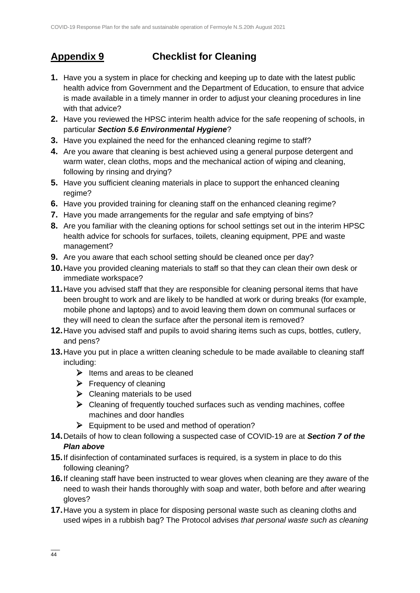### **Appendix 9 Checklist for Cleaning**

- **1.** Have you a system in place for checking and keeping up to date with the latest public health advice from Government and the Department of Education, to ensure that advice is made available in a timely manner in order to adjust your cleaning procedures in line with that advice?
- **2.** Have you reviewed the HPSC interim health advice for the safe reopening of schools, in particular *Section 5.6 Environmental Hygiene*?
- **3.** Have you explained the need for the enhanced cleaning regime to staff?
- **4.** Are you aware that cleaning is best achieved using a general purpose detergent and warm water, clean cloths, mops and the mechanical action of wiping and cleaning, following by rinsing and drying?
- **5.** Have you sufficient cleaning materials in place to support the enhanced cleaning regime?
- **6.** Have you provided training for cleaning staff on the enhanced cleaning regime?
- **7.** Have you made arrangements for the regular and safe emptying of bins?
- **8.** Are you familiar with the cleaning options for school settings set out in the interim HPSC health advice for schools for surfaces, toilets, cleaning equipment, PPE and waste management?
- **9.** Are you aware that each school setting should be cleaned once per day?
- **10.**Have you provided cleaning materials to staff so that they can clean their own desk or immediate workspace?
- **11.**Have you advised staff that they are responsible for cleaning personal items that have been brought to work and are likely to be handled at work or during breaks (for example, mobile phone and laptops) and to avoid leaving them down on communal surfaces or they will need to clean the surface after the personal item is removed?
- **12.**Have you advised staff and pupils to avoid sharing items such as cups, bottles, cutlery, and pens?
- **13.**Have you put in place a written cleaning schedule to be made available to cleaning staff including:
	- $\triangleright$  Items and areas to be cleaned
	- $\triangleright$  Frequency of cleaning
	- $\triangleright$  Cleaning materials to be used
	- ➢ Cleaning of frequently touched surfaces such as vending machines, coffee machines and door handles
	- ➢ Equipment to be used and method of operation?
- **14.**Details of how to clean following a suspected case of COVID-19 are at *Section 7 of the Plan above*
- **15.**If disinfection of contaminated surfaces is required, is a system in place to do this following cleaning?
- **16.**If cleaning staff have been instructed to wear gloves when cleaning are they aware of the need to wash their hands thoroughly with soap and water, both before and after wearing gloves?
- **17.**Have you a system in place for disposing personal waste such as cleaning cloths and used wipes in a rubbish bag? The Protocol advises *that personal waste such as cleaning*